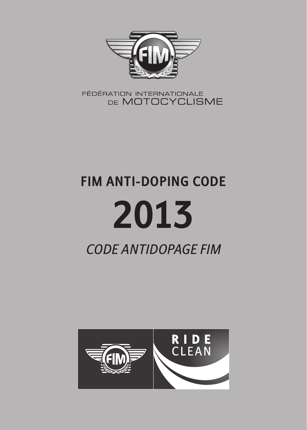

FÉDÉRATION INTERNATIONALE DE MOTOCYCLISME

# **FIM ANTI-DOPING CODE 2013** *CODE ANTIDOPAGE FIM*

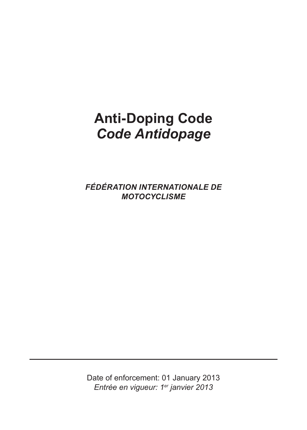# **Anti-Doping Code Code Antidopage**

*FÉDÉRATION%INTERNATIONALE%DE MOTOCYCLISME*

Date of enforcement: 01 January 2013 *Entrée'en'vigueur:'1er'janvier'2013*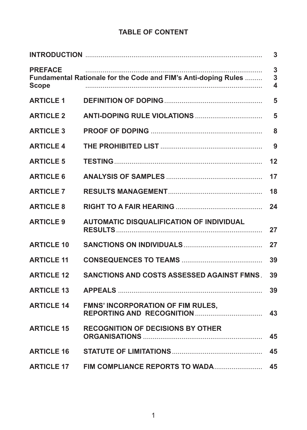# **TABLE OF CONTENT**

| 3                                                                                                                              |                                            |    |  |
|--------------------------------------------------------------------------------------------------------------------------------|--------------------------------------------|----|--|
| 3<br><b>PREFACE</b><br>Fundamental Rationale for the Code and FIM's Anti-doping Rules<br>3<br>$\overline{\mathbf{4}}$<br>Scope |                                            |    |  |
| <b>ARTICLE 1</b>                                                                                                               |                                            | 5  |  |
| <b>ARTICLE 2</b>                                                                                                               |                                            | 5  |  |
| <b>ARTICLE 3</b>                                                                                                               |                                            | 8  |  |
| <b>ARTICLE 4</b>                                                                                                               |                                            | 9  |  |
| <b>ARTICLE 5</b>                                                                                                               |                                            | 12 |  |
| <b>ARTICLE 6</b>                                                                                                               |                                            | 17 |  |
| <b>ARTICLE 7</b>                                                                                                               |                                            | 18 |  |
| <b>ARTICLE 8</b>                                                                                                               |                                            | 24 |  |
| <b>ARTICLE 9</b>                                                                                                               | AUTOMATIC DISQUALIFICATION OF INDIVIDUAL   | 27 |  |
| <b>ARTICLE 10</b>                                                                                                              |                                            | 27 |  |
| <b>ARTICLE 11</b>                                                                                                              |                                            | 39 |  |
| <b>ARTICLE 12</b>                                                                                                              | SANCTIONS AND COSTS ASSESSED AGAINST FMNS. | 39 |  |
| <b>ARTICLE 13</b>                                                                                                              |                                            | 39 |  |
| <b>ARTICLE 14</b>                                                                                                              | <b>FMNS' INCORPORATION OF FIM RULES.</b>   | 43 |  |
| <b>ARTICLE 15</b>                                                                                                              | <b>RECOGNITION OF DECISIONS BY OTHER</b>   | 45 |  |
| <b>ARTICLE 16</b>                                                                                                              |                                            | 45 |  |
| <b>ARTICLE 17</b>                                                                                                              | FIM COMPLIANCE REPORTS TO WADA             | 45 |  |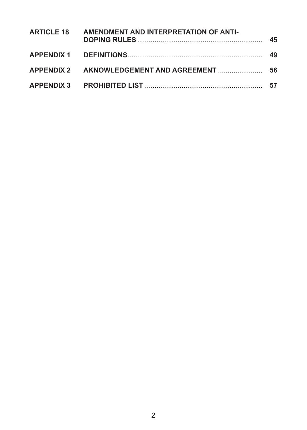| ARTICLE 18 AMENDMENT AND INTERPRETATION OF ANTI- |  |
|--------------------------------------------------|--|
|                                                  |  |
|                                                  |  |
|                                                  |  |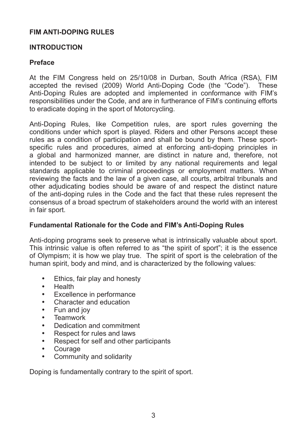#### **FIM ANTI-DOPING RULES**

#### **INTRODUCTION**

#### **Preface**

At the FIM Congress held on 25/10/08 in Durban, South Africa (RSA), FIM accepted the revised  $(2009)$  World Anti-Doping Code (the "Code"). These Anti-Doping Rules are adopted and implemented in conformance with FIM's responsibilities under the Code, and are in furtherance of FIM's continuing efforts to eradicate doping in the sport of Motorcycling.

Anti-Doping Rules, like Competition rules, are sport rules governing the conditions under which sport is played. Riders and other Persons accept these rules as a condition of participation and shall be bound by them. These sportspecific rules and procedures, aimed at enforcing anti-doping principles in a global and harmonized manner, are distinct in nature and, therefore, not intended to be subject to or limited by any national requirements and legal standards applicable to criminal proceedings or employment matters. When reviewing the facts and the law of a given case, all courts, arbitral tribunals and other adjudicating bodies should be aware of and respect the distinct nature of the anti-doping rules in the Code and the fact that these rules represent the consensus of a broad spectrum of stakeholders around the world with an interest in fair sport.

#### **Fundamental Rationale for the Code and FIM's Anti-Doping Rules**

Anti-doping programs seek to preserve what is intrinsically valuable about sport. This intrinsic value is often referred to as "the spirit of sport"; it is the essence of Olympism; it is how we play true. The spirit of sport is the celebration of the human spirit, body and mind, and is characterized by the following values:

- Ethics, fair play and honesty
- **Health**
- Excellence in performance
- Character and education
- Fun and joy
- **Teamwork**
- Dedication and commitment<br>• Respect for rules and laws
- Respect for rules and laws
- Respect for self and other participants<br>• Courage
- Courage<br>• Commun
- Community and solidarity

Doping is fundamentally contrary to the spirit of sport.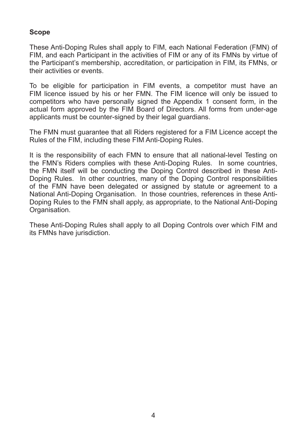#### **Scope**

These Anti-Doping Rules shall apply to FIM, each National Federation (FMN) of FIM, and each Participant in the activities of FIM or any of its FMNs by virtue of the Participant's membership, accreditation, or participation in FIM, its FMNs, or their activities or events.

To be eligible for participation in FIM events, a competitor must have an FIM licence issued by his or her FMN. The FIM licence will only be issued to competitors who have personally signed the Appendix 1 consent form, in the actual form approved by the FIM Board of Directors. All forms from under-age applicants must be counter-signed by their legal guardians.

The FMN must guarantee that all Riders registered for a FIM Licence accept the Rules of the FIM, including these FIM Anti-Doping Rules.

It is the responsibility of each FMN to ensure that all national-level Testing on the FMN's Riders complies with these Anti-Doping Rules. In some countries, the FMN itself will be conducting the Doping Control described in these Anti-Doping Rules. In other countries, many of the Doping Control responsibilities of the FMN have been delegated or assigned by statute or agreement to a National Anti-Doping Organisation. In those countries, references in these Anti-Doping Rules to the FMN shall apply, as appropriate, to the National Anti-Doping Organisation.

These Anti-Doping Rules shall apply to all Doping Controls over which FIM and its FMNs have jurisdiction.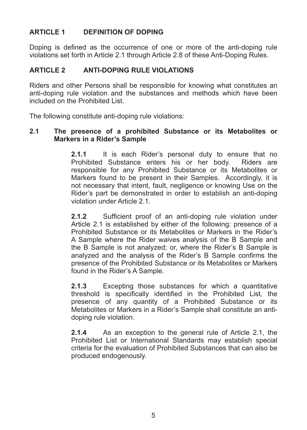#### **ARTICLE 1 DEFINITION OF DOPING**

Doping is defined as the occurrence of one or more of the anti-doping rule violations set forth in Article 2.1 through Article 2.8 of these Anti-Doping Rules.

#### **ARTICLE 2 ANTI-DOPING RULE VIOLATIONS**

Riders and other Persons shall be responsible for knowing what constitutes an anti-doping rule violation and the substances and methods which have been included on the Prohibited List.

The following constitute anti-doping rule violations:

#### 2.1 The presence of a prohibited Substance or its Metabolites or **Markers in a Rider's Sample**

**2.1.1** It is each Rider's personal duty to ensure that no Prohibited Substance enters his or her body. Riders are Prohibited Substance enters his or her body. responsible for any Prohibited Substance or its Metabolites or Markers found to be present in their Samples. Accordingly, it is not necessary that intent, fault, negligence or knowing Use on the Rider's part be demonstrated in order to establish an anti-doping violation under Article 2.1.

**2.1.2** Sufficient proof of an anti-doping rule violation under Article 2.1 is established by either of the following: presence of a Prohibited Substance or its Metabolites or Markers in the Rider's A Sample where the Rider waives analysis of the B Sample and the B Sample is not analyzed: or, where the Rider's B Sample is analyzed and the analysis of the Rider's B Sample confirms the presence of the Prohibited Substance or its Metabolites or Markers found in the Rider's A Sample.

**2.1.3** Excepting those substances for which a quantitative threshold is specifically identified in the Prohibited List, the presence of any quantity of a Prohibited Substance or its Metabolites or Markers in a Rider's Sample shall constitute an antidoping rule violation.

**2.1.4** As an exception to the general rule of Article 2.1, the Prohibited List or International Standards may establish special criteria for the evaluation of Prohibited Substances that can also be produced endogenously.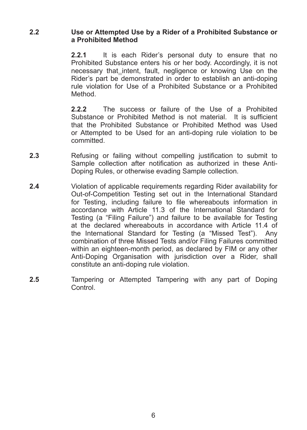#### 2.2 **Use or Attempted Use by a Rider of a Prohibited Substance or** a Prohibited Method

**2.2.1** It is each Rider's personal duty to ensure that no Prohibited Substance enters his or her body. Accordingly, it is not necessary that intent, fault, negligence or knowing Use on the Rider's part be demonstrated in order to establish an anti-doping rule violation for Use of a Prohibited Substance or a Prohibited Method.

**2.2.2.** The success or failure of the Use of a Prohibited Substance or Probibited Method is not material It is sufficient that the Prohibited Substance or Prohibited Method was Used or Attempted to be Used for an anti-doping rule violation to be committed.

- **2.3** 5HIXVLQJ Refusing or failing without compelling instification to submit to Sample collection after notification as authorized in these Anti-Doping Rules, or otherwise evading Sample collection.
- **2.4** Violation of applicable requirements regarding Rider availability for Out-of-Competition Testing set out in the International Standard for Testing, including failure to file whereabouts information in accordance with Article 11.3 of the International Standard for Testing (a "Filing Failure") and failure to be available for Testing at the declared whereabouts in accordance with Article 11.4 of the International Standard for Testing (a "Missed Test"). Any combination of three Missed Tests and/or Filing Failures committed within an eighteen-month period, as declared by FIM or any other Anti-Doping Organisation with iurisdiction over a Rider, shall constitute an anti-doping rule violation.
- **2.5** Tampering or Attempted Tampering with any part of Doping **Control**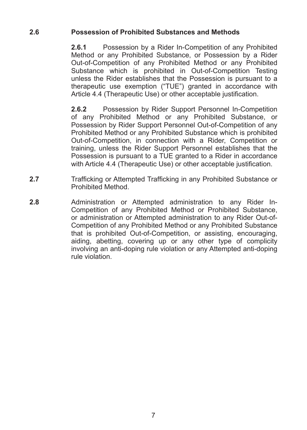#### 2.6 **Possession of Prohibited Substances and Methods**

**2.6.1** Possession by a Rider In-Competition of any Prohibited Method or any Prohibited Substance, or Possession by a Rider Out-of-Competition of any Prohibited Method or any Prohibited Substance which is prohibited in Out-of-Competition Testing unless the Rider establishes that the Possession is pursuant to a therapeutic use exemption ("TUE") granted in accordance with Article 4.4 (Therapeutic Use) or other acceptable justification.

**2.6.2** Possession by Rider Support Personnel In-Competition of any Prohibited Method or any Prohibited Substance, or Possession by Rider Support Personnel Out-of-Competition of any Prohibited Method or any Prohibited Substance which is prohibited Out-of-Competition, in connection with a Rider, Competition or training, unless the Rider Support Personnel establishes that the Possession is pursuant to a TUE granted to a Rider in accordance with Article 4.4 (Therapeutic Use) or other acceptable justification.

- **2.7** Trafficking or Attempted Trafficking in any Prohibited Substance or Prohibited%Method.
- **2.8** Administration or Attempted administration to any Rider In-Competition of any Prohibited Method or Prohibited Substance, or administration or Attempted administration to any Rider Out-of-Competition of any Prohibited Method or any Prohibited Substance that is prohibited Out-of-Competition, or assisting, encouraging, aiding, abetting, covering up or any other type of complicity involving an anti-doping rule violation or any Attempted anti-doping rule violation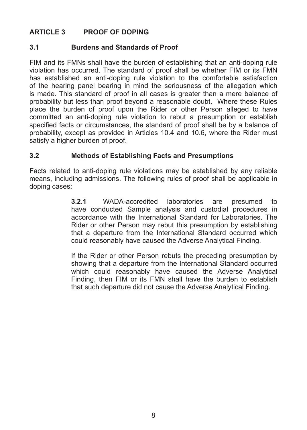#### **ARTICLE 3** PROOF OF DOPING

#### **3.1 Burdens and Standards of Proof**

FIM and its FMNs shall have the burden of establishing that an anti-doping rule violation has occurred. The standard of proof shall be whether FIM or its FMN has established an anti-doping rule violation to the comfortable satisfaction of the hearing panel bearing in mind the seriousness of the allegation which is made. This standard of proof in all cases is greater than a mere balance of probability but less than proof beyond a reasonable doubt. Where these Rules place the burden of proof upon the Rider or other Person alleged to have  $committed$  an anti-doping rule violation to rebut a presumption or establish specified facts or circumstances, the standard of proof shall be by a balance of probability, except as provided in Articles 10.4 and 10.6, where the Rider must satisfy a higher burden of proof.

#### **3.2 Methods\*of\*Establishing\*Facts\*and\*Presumptions**

Facts related to anti-doping rule violations may be established by any reliable means, including admissions. The following rules of proof shall be applicable in doping cases:

> **3.2.1** WADA-accredited laboratories are presumed to have conducted Sample analysis and custodial procedures in accordance with the International Standard for Laboratories. The Rider or other Person may rebut this presumption by establishing that a departure from the International Standard occurred which could reasonably have caused the Adverse Analytical Finding.

> If the Rider or other Person rebuts the preceding presumption by showing that a departure from the International Standard occurred which could reasonably have caused the Adverse Analytical Finding, then FIM or its FMN shall have the burden to establish that such departure did not cause the Adverse Analytical Finding.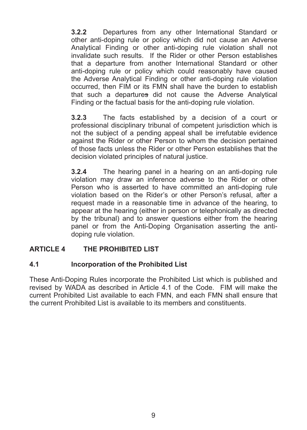**3.2.2** Departures from any other International Standard or other anti-doping rule or policy which did not cause an Adverse Analytical Finding or other anti-doping rule violation shall not invalidate such results. If the Rider or other Person establishes that a departure from another International Standard or other anti-doping rule or policy which could reasonably have caused the Adverse Analytical Finding or other anti-doping rule violation occurred, then FIM or its FMN shall have the burden to establish that such a departures did not cause the Adverse Analytical Finding or the factual basis for the anti-doping rule violation.

**3.2.3** The facts established by a decision of a court or professional disciplinary tribunal of competent jurisdiction which is not the subject of a pending appeal shall be irrefutable evidence against the Rider or other Person to whom the decision pertained of those facts unless the Rider or other Person establishes that the decision violated principles of natural justice.

**3.2.4** The hearing panel in a hearing on an anti-doping rule violation may draw an inference adverse to the Rider or other Person who is asserted to have committed an anti-doping rule violation based on the Rider's or other Person's refusal, after a request made in a reasonable time in advance of the hearing, to appear at the hearing (either in person or telephonically as directed by the tribunal) and to answer questions either from the hearing panel or from the Anti-Doping Organisation asserting the antidoping rule violation.

#### **ARTICLE 4 THE PROHIBITED LIST**

#### **4.1 Incorporation of the Prohibited List**

These Anti-Doping Rules incorporate the Prohibited List which is published and revised by WADA as described in Article 4.1 of the Code. FIM will make the current Prohibited List available to each FMN, and each FMN shall ensure that the current Prohibited List is available to its members and constituents.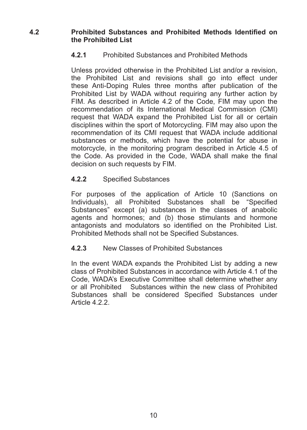#### **4.2 Brohibited Substances and Prohibited Methods Identified on the Prohibited List**

#### **4.2.1** Prohibited Substances and Prohibited Methods

Unless provided otherwise in the Prohibited List and/or a revision. the Prohibited List and revisions shall go into effect under these Anti-Doping Rules three months after publication of the Prohibited List by WADA without requiring any further action by FIM. As described in Article 4.2 of the Code. FIM may upon the recommendation of its International Medical Commission (CMI) request that WADA expand the Prohibited List for all or certain disciplines within the sport of Motorcycling. FIM may also upon the recommendation of its CMI request that WADA include additional substances or methods, which have the potential for abuse in motorcycle, in the monitoring program described in Article  $4.5$  of the Code. As provided in the Code. WADA shall make the final decision on such requests by FIM.

#### **4.2.2** Specified Substances

For purposes of the application of Article 10 (Sanctions on Individuals), all Prohibited Substances shall be "Specified Substances" except (a) substances in the classes of anabolic agents and hormones; and (b) those stimulants and hormone antagonists and modulators so identified on the Prohibited List. Prohibited Methods shall not be Specified Substances.

#### **4.2.3** New Classes of Prohibited Substances

In the event WADA expands the Prohibited List by adding a new class of Prohibited Substances in accordance with Article 4.1 of the Code, WADA's Executive Committee shall determine whether any or all Prohibited Substances within the new class of Prohibited Substances shall be considered Specified Substances under Article 4.2.2.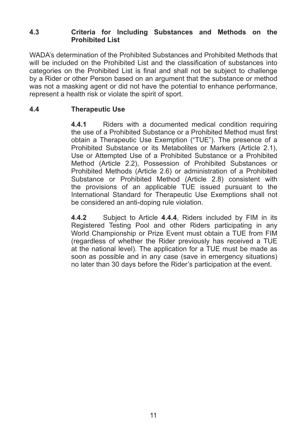#### **4.3 Criteria\* for\* Including\* Substances\* and\* Methods\* on\* the\* Prohibited List**

WADA's determination of the Prohibited Substances and Prohibited Methods that will be included on the Prohibited List and the classification of substances into categories on the Prohibited List is final and shall not be subject to challenge by a Rider or other Person based on an argument that the substance or method was not a masking agent or did not have the potential to enhance performance. represent a health risk or violate the spirit of sport.

#### **4.4 Therapeutic\*Use**

**4.4.1** Riders with a documented medical condition requiring the use of a Prohibited Substance or a Prohibited Method must first obtain a Therapeutic Use Exemption ("TUE"). The presence of a Prohibited Substance or its Metabolites or Markers (Article 2.1), Use or Attempted Use of a Prohibited Substance or a Prohibited Method (Article 2.2), Possession of Prohibited Substances or Prohibited Methods (Article 2.6) or administration of a Prohibited Substance or Prohibited Method (Article 2.8) consistent with the provisions of an applicable TUE issued pursuant to the International Standard for Therapeutic Use Exemptions shall not be considered an anti-doping rule violation.

**4.4.2** Subject to Article **4.4.4**, Riders included by FIM in its Registered Testing Pool and other Riders participating in any World Championship or Prize Event must obtain a TUE from FIM (regardless of whether the Rider previously has received a TUE at the national level). The application for a TUE must be made as soon as possible and in any case (save in emergency situations) no later than 30 days before the Rider's participation at the event.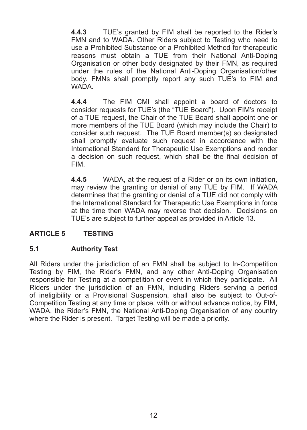**4.4.3** TUE's granted by FIM shall be reported to the Rider's FMN and to WADA. Other Riders subject to Testing who need to use a Prohibited Substance or a Prohibited Method for therapeutic reasons must obtain a TUE from their National Anti-Doping Organisation or other body designated by their FMN, as required under the rules of the National Anti-Doping Organisation/other body. FMNs shall promptly report any such TUE's to FIM and **WADA** 

**4.4.4** The FIM CMI shall appoint a board of doctors to consider requests for TUE's (the "TUE Board"). Upon FIM's receipt of a TUE request, the Chair of the TUE Board shall appoint one or more members of the TUE Board (which may include the Chair) to consider such request. The TUE Board member(s) so designated shall promptly evaluate such request in accordance with the International Standard for Therapeutic Use Exemptions and render a decision on such request, which shall be the final decision of FIM.

**4.4.5** WADA, at the request of a Rider or on its own initiation. may review the granting or denial of any TUE by FIM. If WADA determines that the granting or denial of a TUE did not comply with the International Standard for Therapeutic Use Exemptions in force at the time then WADA may reverse that decision. Decisions on TUE's are subject to further appeal as provided in Article 13.

#### **ARTICLE 5 TESTING**

#### **5.1 Authority\*Test**

All Riders under the iurisdiction of an FMN shall be subject to In-Competition Testing by FIM, the Rider's FMN, and any other Anti-Doping Organisation responsible for Testing at a competition or event in which they participate. All Riders under the iurisdiction of an FMN, including Riders serving a period of ineligibility or a Provisional Suspension, shall also be subject to Out-of-Competition Testing at any time or place, with or without advance notice, by FIM, WADA, the Rider's FMN, the National Anti-Doping Organisation of any country where the Rider is present. Target Testing will be made a priority.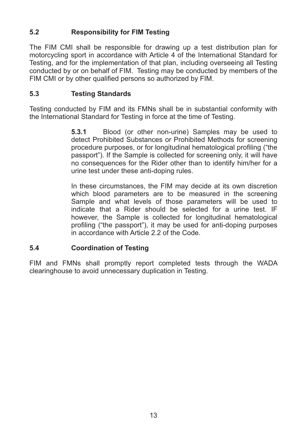## **5.2 Responsibility for FIM Testing**

The FIM CMI shall be responsible for drawing up a test distribution plan for motorcycling sport in accordance with Article 4 of the International Standard for Testing, and for the implementation of that plan, including overseeing all Testing conducted by or on behalf of FIM. Testing may be conducted by members of the FIM CMI or by other qualified persons so authorized by FIM.

#### **5.3 Testing\*Standards**

Testing conducted by FIM and its FMNs shall be in substantial conformity with the International Standard for Testing in force at the time of Testing.

> **5.3.1** Blood (or other non-urine) Samples may be used to detect Prohibited Substances or Prohibited Methods for screening procedure purposes, or for longitudinal hematological profiling ("the passport"). If the Sample is collected for screening only, it will have no consequences for the Rider other than to identify him/her for a urine test under these anti-doping rules.

> In these circumstances, the FIM may decide at its own discretion which blood parameters are to be measured in the screening Sample and what levels of those parameters will be used to indicate that a Rider should be selected for a urine test. IF however, the Sample is collected for longitudinal hematological profiling ("the passport"), it may be used for anti-doping purposes in accordance with Article 2.2 of the Code.

#### **5.4 Coordination of Testing**

FIM and FMNs shall promptly report completed tests through the WADA clearinghouse to avoid unnecessary duplication in Testing.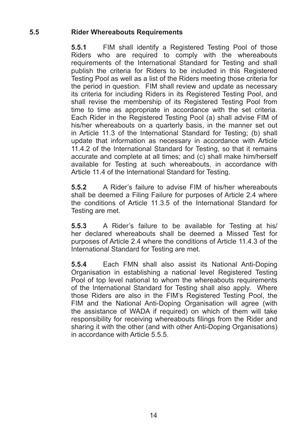#### **5.5 Rider\*Whereabouts\*Requirements**

**5.5.1** FIM shall identify a Registered Testing Pool of those Riders who are required to comply with the whereabouts requirements of the International Standard for Testing and shall publish the criteria for Riders to be included in this Registered Testing Pool as well as a list of the Riders meeting those criteria for the period in question. FIM shall review and update as necessary its criteria for including Riders in its Registered Testing Pool, and shall revise the membership of its Registered Testing Pool from time to time as appropriate in accordance with the set criteria. Each Rider in the Registered Testing Pool (a) shall advise FIM of his/her whereabouts on a quarterly basis, in the manner set out in Article 11.3 of the International Standard for Testing: (b) shall update that information as necessary in accordance with Article 11.4.2 of the International Standard for Testing, so that it remains accurate and complete at all times; and (c) shall make him/herself available for Testing at such whereabouts, in accordance with Article 11.4 of the International Standard for Testing.

**5.5.2** A Rider's failure to advise FIM of his/her whereabouts shall be deemed a Filing Failure for purposes of Article 2.4 where the conditions of Article  $11.3.5$  of the International Standard for Testing are met.

**5.5.3** A Rider's failure to be available for Testing at his/ her declared whereabouts shall be deemed a Missed Test for purposes of Article 2.4 where the conditions of Article 11.4.3 of the International Standard for Testing are met.

**5.5.4** Each FMN shall also assist its National Anti-Doping Organisation in establishing a national level Registered Testing Pool of top level national to whom the whereabouts requirements of the International Standard for Testing shall also apply. Where those Riders are also in the FIM's Registered Testing Pool, the FIM and the National Anti-Doping Organisation will agree (with the assistance of WADA if required) on which of them will take responsibility for receiving whereabouts filings from the Rider and sharing it with the other (and with other Anti-Doping Organisations) in accordance with Article  $5.5.5$ .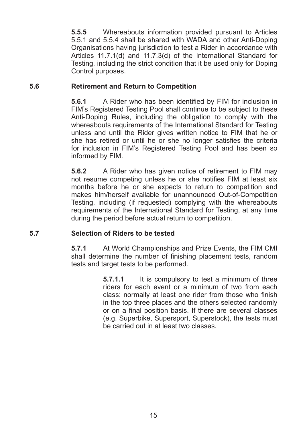**5.5.5** Whereabouts information provided pursuant to Articles 5.5.1 and 5.5.4 shall be shared with WADA and other Anti-Doping Organisations having jurisdiction to test a Rider in accordance with Articles  $11.7.1(d)$  and  $11.7.3(d)$  of the International Standard for Testing, including the strict condition that it be used only for Doping Control purposes.

#### **5.6 Retirement and Return to Competition**

**5.6.1** A Rider who has been identified by FIM for inclusion in FIM's Registered Testing Pool shall continue to be subject to these Anti-Doping Rules, including the obligation to comply with the whereabouts requirements of the International Standard for Testing unless and until the Rider gives written notice to FIM that he or she has retired or until he or she no longer satisfies the criteria for inclusion in FIM's Registered Testing Pool and has been so informed by FIM.

**5.6.2** A Rider who has given notice of retirement to FIM may not resume competing unless he or she notifies FIM at least six months before he or she expects to return to competition and makes him/herself available for unannounced Out-of-Competition Testing, including (if requested) complying with the whereabouts requirements of the International Standard for Testing, at any time during the period before actual return to competition.

#### **5.7 Selection\*of\*Riders\*to\*be\*tested**

**5.7.1** At World Championships and Prize Events, the FIM CMI shall determine the number of finishing placement tests, random tests and target tests to be performed.

> **5.7.1.1** It is compulsory to test a minimum of three riders for each event or a minimum of two from each class: normally at least one rider from those who finish in the top three places and the others selected randomly or on a final position basis. If there are several classes (e.g. Superbike, Supersport, Superstock), the tests must be carried out in at least two classes.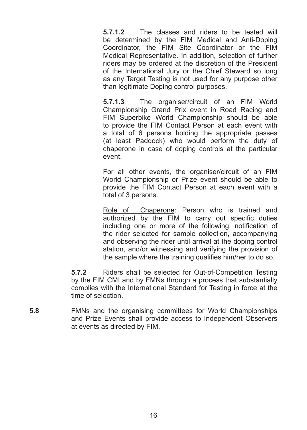**5.7.1.2** The classes and riders to be tested will be determined by the FIM Medical and Anti-Doping Coordinator, the FIM Site Coordinator or the FIM Medical Representative. In addition, selection of further riders may be ordered at the discretion of the President of the International Jury or the Chief Steward so long as any Target Testing is not used for any purpose other than legitimate Doping control purposes.

**5.7.1.3** The organiser/circuit of an FIM World Championship Grand Prix event in Road Racing and FIM Superbike World Championship should be able to provide the FIM Contact Person at each event with a total of 6 persons holding the appropriate passes (at least Paddock) who would perform the duty of chaperone in case of doping controls at the particular event.

For all other events, the organiser/circuit of an FIM World Championship or Prize event should be able to provide the FIM Contact Person at each event with a total of 3 persons.

Role of Chaperone: Person who is trained and  $\overline{\text{cutoff}}$  authorized by the FIM to carry out specific duties including one or more of the following: notification of the rider selected for sample collection, accompanying and observing the rider until arrival at the doping control station, and/or witnessing and verifying the provision of the sample where the training qualifies him/her to do so.

**5.7.2** Riders shall be selected for Out-of-Competition Testing by the FIM CMI and by FMNs through a process that substantially complies with the International Standard for Testing in force at the time of selection

**5.8 EMNs** and the organising committees for World Championships and Prize Events shall provide access to Independent Observers at events as directed by FIM.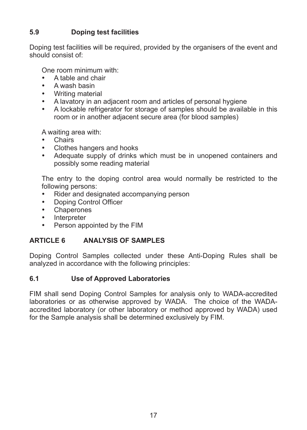#### **5.9 Doping test facilities**

Doping test facilities will be required, provided by the organisers of the event and should consist of:

One room minimum with:

- A table and chair
- A wash basin
- Writing material
- A lavatory in an adjacent room and articles of personal hygiene
- A lockable refrigerator for storage of samples should be available in this room or in another adjacent secure area (for blood samples)

A waiting area with:

- Chaire<sub></sub>
- Clothes hangers and hooks
- Adequate supply of drinks which must be in unopened containers and possibly some reading material

The entry to the doping control area would normally be restricted to the following persons:

- Rider and designated accompanying person
- Doping Control Officer
- Chaperones
- **Interpreter**
- Person appointed by the FIM

#### **ARTICLE 6 ANALYSIS OF SAMPLES**

Doping Control Samples collected under these Anti-Doping Rules shall be analyzed in accordance with the following principles:

#### **6.1 Use of Approved Laboratories**

FIM shall send Doping Control Samples for analysis only to WADA-accredited laboratories or as otherwise approved by WADA. The choice of the WADAaccredited laboratory (or other laboratory or method approved by WADA) used for the Sample analysis shall be determined exclusively by FIM.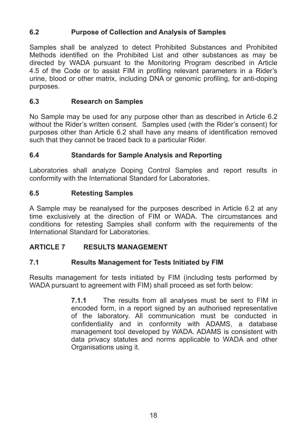#### **6.2 Purpose of Collection and Analysis of Samples**

Samples shall be analyzed to detect Prohibited Substances and Prohibited Methods identified on the Prohibited List and other substances as may be directed by WADA pursuant to the Monitoring Program described in Article 4.5 of the Code or to assist FIM in profiling relevant parameters in a Rider's urine, blood or other matrix, including DNA or genomic profiling, for anti-doping purposes.

#### **6.3 Research\*on\*Samples**

No Sample may be used for any purpose other than as described in Article 6.2 without the Rider's written consent. Samples used (with the Rider's consent) for purposes other than Article 6.2 shall have any means of identification removed such that they cannot be traced back to a particular Rider.

#### **6.4 Standards for Sample Analysis and Reporting**

Laboratories shall analyze Doping Control Samples and report results in conformity with the International Standard for Laboratories.

#### **6.5 Retesting\*Samples**

A Sample may be reanalysed for the purposes described in Article 6.2 at any time exclusively at the direction of FIM or WADA. The circumstances and conditions for retesting Samples shall conform with the requirements of the International Standard for Laboratories

#### **ARTICLE 7 RESULTS MANAGEMENT**

#### **7.1 Results Management for Tests Initiated by FIM**

Results management for tests initiated by FIM (including tests performed by WADA pursuant to agreement with FIM) shall proceed as set forth below:

> **7.1.1** The results from all analyses must be sent to FIM in encoded form, in a report signed by an authorised representative of the laboratory. All communication must be conducted in confidentiality and in conformity with ADAMS, a database management tool developed by WADA. ADAMS is consistent with data privacy statutes and norms applicable to WADA and other Organisations using it.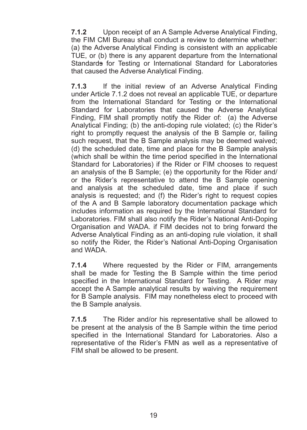**7.1.2** Upon receipt of an A Sample Adverse Analytical Finding, the FIM CMI Bureau shall conduct a review to determine whether: (a) the Adverse Analytical Finding is consistent with an applicable TUE, or (b) there is any apparent departure from the International Standards for Testing or International Standard for Laboratories that caused the Adverse Analytical Finding.

**7.1.3** If the initial review of an Adverse Analytical Finding under Article 7.1.2 does not reveal an applicable TUE, or departure from the International Standard for Testing or the International Standard for Laboratories that caused the Adverse Analytical Finding,  $FIM$  shall promptly notify the Rider of: (a) the Adverse Analytical Finding: (b) the anti-doping rule violated: (c) the Rider's right to promptly request the analysis of the B Sample or, failing such request, that the B Sample analysis may be deemed waived:  $(d)$  the scheduled date, time and place for the B Sample analysis (which shall be within the time period specified in the International Standard for Laboratories) if the Rider or FIM chooses to request an analysis of the B Sample; (e) the opportunity for the Rider and/ or the Rider's representative to attend the B Sample opening and analysis at the scheduled date, time and place if such analysis is requested: and (f) the Rider's right to request copies of the A and B Sample laboratory documentation package which includes information as required by the International Standard for Laboratories. FIM shall also notify the Rider's National Anti-Doping Organisation and WADA. if FIM decides not to bring forward the Adverse Analytical Finding as an anti-doping rule violation, it shall so notify the Rider, the Rider's National Anti-Doping Organisation and WADA

**7.1.4** Where requested by the Rider or FIM, arrangements shall be made for Testing the B Sample within the time period specified in the International Standard for Testing. A Rider may accept the A Sample analytical results by waiving the requirement for B Sample analysis. FIM may nonetheless elect to proceed with the B Sample analysis.

**7.1.5** The Rider and/or his representative shall be allowed to be present at the analysis of the B Sample within the time period specified in the International Standard for Laboratories. Also a representative of the Rider's FMN as well as a representative of FIM shall be allowed to be present.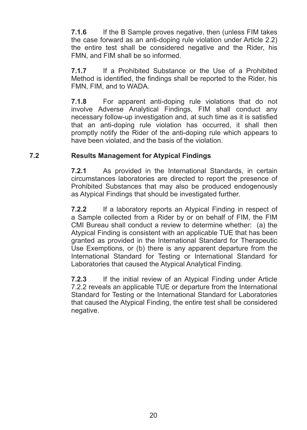**7.1.6** If the B Sample proves negative, then (unless FIM takes) the case forward as an anti-doping rule violation under Article  $2.2$ ) the entire test shall be considered negative and the Rider, his FMN, and FIM shall be so informed.

**7.1.7** If a Prohibited Substance or the Use of a Prohibited Method is identified, the findings shall be reported to the Rider, his FMN, FIM, and to WADA.

**7.1.8** For apparent anti-doping rule violations that do not involve Adverse Analytical Findings, FIM shall conduct any necessary follow-up investigation and, at such time as it is satisfied that an anti-doping rule violation has occurred, it shall then promptly notify the Rider of the anti-doping rule which appears to have been violated, and the basis of the violation.

#### **7.2 Results Management for Atypical Findings**

**7.2.1** As provided in the International Standards, in certain circumstances laboratories are directed to report the presence of Prohibited Substances that may also be produced endogenously as Atypical Findings that should be investigated further.

**7.2.2** If a laboratory reports an Atypical Finding in respect of a Sample collected from a Rider by or on behalf of FIM, the FIM CMI Bureau shall conduct a review to determine whether: (a) the Atypical Finding is consistent with an applicable TUE that has been granted as provided in the International Standard for Therapeutic Use Exemptions, or (b) there is any apparent departure from the International Standard for Testing or International Standard for Laboratories that caused the Atypical Analytical Finding.

**7.2.3** If the initial review of an Atypical Finding under Article 7.2.2 reveals an applicable TUE or departure from the International Standard for Testing or the International Standard for Laboratories that caused the Atypical Finding, the entire test shall be considered negative.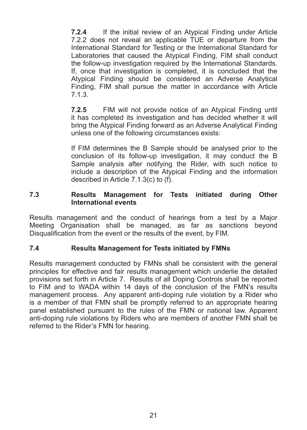**7.2.4** If the initial review of an Atypical Finding under Article 7.2.2 does not reveal an applicable  $\overline{T}$ UE or departure from the International Standard for Testing or the International Standard for Laboratories that caused the Atypical Finding, FIM shall conduct the follow-up investigation required by the International Standards. If, once that investigation is completed, it is concluded that the Atypical Finding should be considered an Adverse Analytical Finding, FIM shall pursue the matter in accordance with Article 7.1.3.

**7.2.5** FIM will not provide notice of an Atypical Finding until it has completed its investigation and has decided whether it will bring the Atypical Finding forward as an Adverse Analytical Finding unless one of the following circumstances exists:

If FIM determines the B Sample should be analysed prior to the conclusion of its follow-up investigation, it may conduct the  $B$ Sample analysis after notifying the Rider, with such notice to include a description of the Atypical Finding and the information described in Article  $7.1.3(c)$  to (f).

#### **7.3 Results\* Management\* for\* Tests\* initiated\* during\* Other\* International events**

Results management and the conduct of hearings from a test by a Major Meeting Organisation shall be managed, as far as sanctions beyond Disqualification from the event or the results of the event, by FIM.

#### **7.4 Results Management for Tests initiated by FMNs**

Results management conducted by FMNs shall be consistent with the general principles for effective and fair results management which underlie the detailed provisions set forth in Article 7. Results of all Doping Controls shall be reported to FIM and to WADA within 14 days of the conclusion of the FMN's results management process. Any apparent anti-doping rule violation by a Rider who is a member of that FMN shall be promptly referred to an appropriate hearing panel established pursuant to the rules of the FMN or national law. Apparent anti-doping rule violations by Riders who are members of another FMN shall be referred to the Rider's FMN for hearing.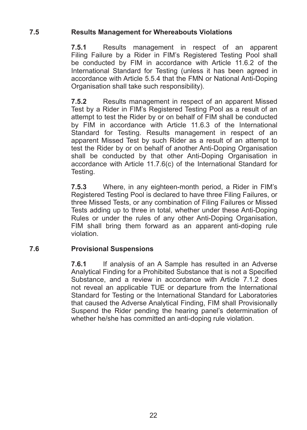#### **7.5 Results Management for Whereabouts Violations**

**7.5.1** Results management in respect of an apparent Filing Failure by a Rider in FIM's Registered Testing Pool shall be conducted by FIM in accordance with Article 11.6.2 of the International Standard for Testing (unless it has been agreed in accordance with Article 5.5.4 that the FMN or National Anti-Doping Organisation shall take such responsibility).

**7.5.2** Results management in respect of an apparent Missed Test by a Rider in FIM's Registered Testing Pool as a result of an attempt to test the Rider by or on behalf of FIM shall be conducted by  $FIM$  in accordance with Article 11.6.3 of the International Standard for Testing. Results management in respect of an apparent Missed Test by such Rider as a result of an attempt to test the Rider by or on behalf of another Anti-Doping Organisation shall be conducted by that other Anti-Doping Organisation in accordance with Article  $11.7.6(c)$  of the International Standard for Testing.

**7.5.3** Where, in any eighteen-month period, a Rider in FIM's Registered Testing Pool is declared to have three Filing Failures, or three Missed Tests, or any combination of Filing Failures or Missed Tests adding up to three in total, whether under these Anti-Doping Rules or under the rules of any other Anti-Doping Organisation, FIM shall bring them forward as an apparent anti-doping rule violation.

#### **7.6 Provisional\*Suspensions**

**7.6.1** If analysis of an A Sample has resulted in an Adverse Analytical Finding for a Prohibited Substance that is not a Specified Substance, and a review in accordance with Article 7.1.2 does not reveal an applicable TUE or departure from the International Standard for Testing or the International Standard for Laboratories that caused the Adverse Analytical Finding, FIM shall Provisionally Suspend the Rider pending the hearing panel's determination of whether he/she has committed an anti-doping rule violation.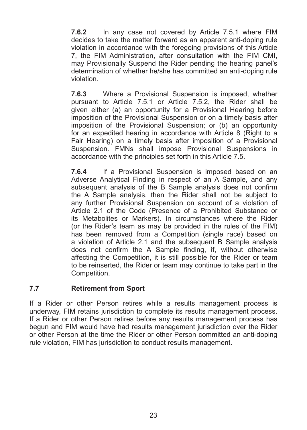**7.6.2** In any case not covered by Article 7.5.1 where FIM decides to take the matter forward as an apparent anti-doping rule violation in accordance with the foregoing provisions of this Article 7, the FIM Administration, after consultation with the FIM CMI, may Provisionally Suspend the Rider pending the hearing panel's determination of whether he/she has committed an anti-doping rule violation.

**7.6.3** Where a Provisional Suspension is imposed, whether pursuant to Article 7.5.1 or Article 7.5.2, the Rider shall be given either (a) an opportunity for a Provisional Hearing before imposition of the Provisional Suspension or on a timely basis after imposition of the Provisional Suspension; or (b) an opportunity for an expedited hearing in accordance with Article 8 (Right to a Fair Hearing) on a timely basis after imposition of a Provisional Suspension. FMNs shall impose Provisional Suspensions in accordance with the principles set forth in this Article 7.5.

**7.6.4** If a Provisional Suspension is imposed based on an Adverse Analytical Finding in respect of an A Sample, and any subsequent analysis of the B Sample analysis does not confirm the A Sample analysis, then the Rider shall not be subject to any further Provisional Suspension on account of a violation of Article 2.1 of the Code (Presence of a Prohibited Substance or its Metabolites or Markers). In circumstances where the Rider (or the Rider's team as may be provided in the rules of the  $FIM$ ) has been removed from a Competition (single race) based on a violation of Article 2.1 and the subsequent B Sample analysis does not confirm the A Sample finding if without otherwise affecting the Competition, it is still possible for the Rider or team to be reinserted, the Rider or team may continue to take part in the Competition.

#### **7.7 Retirement from Sport**

If a Rider or other Person retires while a results management process is underway. FIM retains jurisdiction to complete its results management process. If a Rider or other Person retires before any results management process has begun and FIM would have had results management jurisdiction over the Rider or other Person at the time the Rider or other Person committed an anti-doping rule violation. FIM has jurisdiction to conduct results management.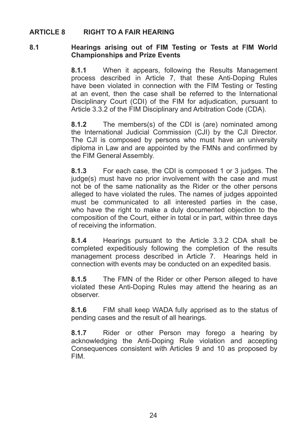#### **ARTICLE 8 RIGHT TO A FAIR HEARING**

#### 8.1 **Hearings arising out of FIM Testing or Tests at FIM World Championships and Prize Events**

**8.1.1** When it appears, following the Results Management process described in Article 7, that these Anti-Doping Rules have been violated in connection with the FIM Testing or Testing at an event, then the case shall be referred to the International Disciplinary Court (CDI) of the FIM for adjudication, pursuant to Article 3.3.2 of the FIM Disciplinary and Arbitration Code (CDA).

**8.1.2** The members(s) of the CDI is (are) nominated among the International Judicial Commission (CJI) by the CJI Director. The CJI is composed by persons who must have an university diploma in Law and are appointed by the FMNs and confirmed by the FIM General Assembly.

**8.1.3** For each case, the CDI is composed 1 or 3 judges. The judge(s) must have no prior involvement with the case and must not be of the same nationality as the Rider or the other persons alleged to have violated the rules. The names of judges appointed must be communicated to all interested parties in the case, who have the right to make a duly documented objection to the composition of the Court, either in total or in part, within three days of receiving the information.

**8.1.4** Hearings pursuant to the Article 3.3.2 CDA shall be completed expeditiously following the completion of the results management process described in Article 7. Hearings held in connection with events may be conducted on an expedited basis.

**8.1.5** The FMN of the Rider or other Person alleged to have violated these Anti-Doping Rules may attend the hearing as an observer.

**8.1.6** FIM shall keep WADA fully apprised as to the status of pending cases and the result of all hearings.

**8.1.7** Rider or other Person may forego a hearing by acknowledging the Anti-Doping Rule violation and accepting Consequences consistent with Articles 9 and 10 as proposed by FIM.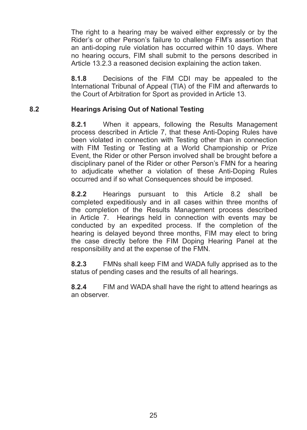The right to a hearing may be waived either expressly or by the Rider's or other Person's failure to challenge FIM's assertion that an anti-doping rule violation has occurred within 10 days. Where no hearing occurs. FIM shall submit to the persons described in Article 13.2.3 a reasoned decision explaining the action taken.

**8.1.8** Decisions of the FIM CDI may be appealed to the International Tribunal of Appeal (TIA) of the FIM and afterwards to the Court of Arbitration for Sport as provided in Article 13.

#### 8.2 **Hearings Arising Out of National Testing**

**8.2.1** When it appears, following the Results Management process described in Article 7, that these Anti-Doping Rules have been violated in connection with Testing other than in connection with FIM Testing or Testing at a World Championship or Prize Event, the Rider or other Person involved shall be brought before a disciplinary panel of the Rider or other Person's FMN for a hearing to adjudicate whether a violation of these Anti-Doping Rules occurred and if so what Consequences should be imposed.

**8.2.2** Hearings pursuant to this Article 8.2 shall be completed expeditiously and in all cases within three months of the completion of the Results Management process described in Article 7. Hearings held in connection with events may be conducted by an expedited process. If the completion of the hearing is delayed beyond three months, FIM may elect to bring the case directly before the FIM Doping Hearing Panel at the responsibility and at the expense of the FMN.

**8.2.3** FMNs shall keep FIM and WADA fully apprised as to the status of pending cases and the results of all hearings.

**8.2.4** FIM and WADA shall have the right to attend hearings as an observer.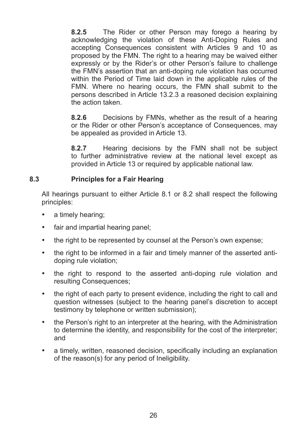**8.2.5** The Rider or other Person may forego a hearing by acknowledging the violation of these Anti-Doping Rules and accepting Consequences consistent with Articles 9 and 10 as proposed by the FMN. The right to a hearing may be waived either expressly or by the Rider's or other Person's failure to challenge the FMN's assertion that an anti-doping rule violation has occurred within the Period of Time laid down in the applicable rules of the FMN. Where no hearing occurs, the FMN shall submit to the persons described in Article 13.2.3 a reasoned decision explaining the action taken

**8.2.6** Decisions by FMNs, whether as the result of a hearing or the Rider or other Person's acceptance of Consequences, may be appealed as provided in Article 13.

**8.2.7** Hearing decisions by the FMN shall not be subject to further administrative review at the national level except as provided in Article 13 or required by applicable national law.

#### 8.3 **Principles for a Fair Hearing**

All hearings pursuant to either Article 8.1 or 8.2 shall respect the following principles:

- a timely hearing:
- fair and impartial hearing panel:
- $\cdot$  the right to be represented by counsel at the Person's own expense;
- $\bullet$  the right to be informed in a fair and timely manner of the asserted antidoping rule violation;
- the right to respond to the asserted anti-doping rule violation and resulting Consequences;
- $\bullet$  the right of each party to present evidence, including the right to call and question witnesses (subject to the hearing panel's discretion to accept testimony by telephone or written submission);
- $\cdot$  the Person's right to an interpreter at the hearing, with the Administration to determine the identity, and responsibility for the cost of the interpreter; and
- a timely, written, reasoned decision, specifically including an explanation of the reason(s) for any period of Ineligibility.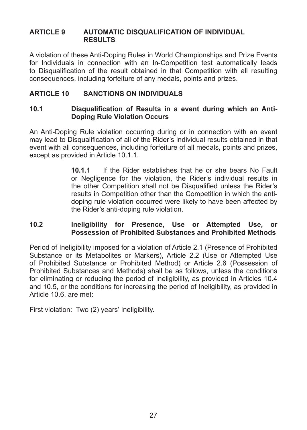#### **ARTICLE 9 AUTOMATIC DISQUALIFICATION OF INDIVIDUAL RESULTS**

A violation of these Anti-Doping Rules in World Championships and Prize Events for Individuals in connection with an In-Competition test automatically leads to Disqualification of the result obtained in that Competition with all resulting consequences, including forfeiture of any medals, points and prizes.

#### **ARTICLE 10 SANCTIONS ON INDIVIDUALS**

#### **10.1 Disqualification of Results in a event during which an Anti-Doping Rule Violation Occurs**

An Anti-Doping Rule violation occurring during or in connection with an event may lead to Disqualification of all of the Rider's individual results obtained in that event with all consequences, including forfeiture of all medals, points and prizes, except as provided in Article 10.1.1.

> **10.1.1.** If the Rider establishes that he or she bears No Fault or Negligence for the violation, the Rider's individual results in the other Competition shall not be Disqualified unless the Rider's results in Competition other than the Competition in which the antidoping rule violation occurred were likely to have been affected by the Rider's anti-doping rule violation.

#### **10.2 Ineligibility\* for\* Presence,\* Use\* or\* Attempted\* Use,\* or\* Possession of Prohibited Substances and Prohibited Methods**

Period of Ineligibility imposed for a violation of Article 2.1 (Presence of Prohibited Substance or its Metabolites or Markers), Article 2.2 (Use or Attempted Use of Prohibited Substance or Prohibited Method) or Article 2.6 (Possession of Prohibited Substances and Methods) shall be as follows, unless the conditions for eliminating or reducing the period of Ineligibility, as provided in Articles 10.4 and 10.5, or the conditions for increasing the period of Ineligibility, as provided in Article 10.6, are met:

First violation: Two (2) years' Ineligibility.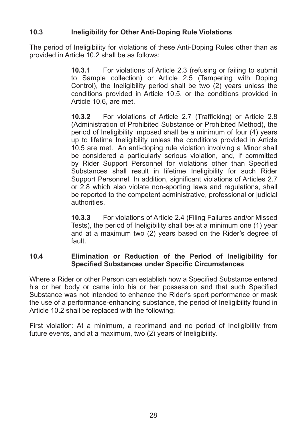#### **10.3 Ineligibility for Other Anti-Doping Rule Violations**

The period of Ineligibility for violations of these Anti-Doping Rules other than as provided in Article 10.2 shall be as follows:

> **10.3.1** For violations of Article 2.3 (refusing or failing to submit to Sample collection) or Article 2.5 (Tampering with Doping Control), the Ineligibility period shall be two  $(2)$  years unless the conditions provided in Article 10.5, or the conditions provided in Article  $10.6$ , are met.

> **10.3.2** • For violations of Article 2.7 (Trafficking) or Article 2.8 (Administration of Prohibited Substance or Prohibited Method), the period of Ineligibility imposed shall be a minimum of four  $(4)$  years up to lifetime Ineligibility unless the conditions provided in Article  $10.5$  are met. An anti-doping rule violation involving a Minor shall be considered a particularly serious violation, and, if committed by Rider Support Personnel for violations other than Specified Substances shall result in lifetime Ineligibility for such Rider Support Personnel. In addition, significant violations of Articles 2.7 or  $2.8$  which also violate non-sporting laws and regulations, shall be reported to the competent administrative, professional or judicial authorities.

> **10.3.3** For violations of Article 2.4 (Filing Failures and/or Missed Tests), the period of Ineligibility shall be: at a minimum one  $(1)$  year and at a maximum two  $(2)$  vears based on the Rider's degree of fault.

#### **10.4 Elimination\* or\* Reduction\* of\* the\* Period\* of\* Ineligibility\* for\* Specified Substances under Specific Circumstances**

Where a Rider or other Person can establish how a Specified Substance entered his or her body or came into his or her possession and that such Specified Substance was not intended to enhance the Rider's sport performance or mask the use of a performance-enhancing substance, the period of Ineligibility found in Article 10.2 shall be replaced with the following:

First violation: At a minimum, a reprimand and no period of Ineligibility from future events, and at a maximum, two (2) years of Ineligibility.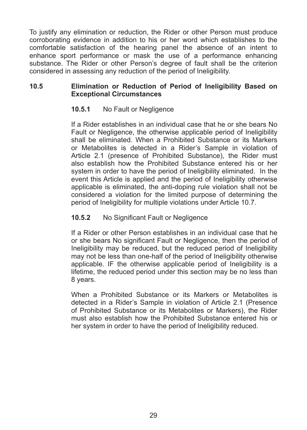To justify any elimination or reduction, the Rider or other Person must produce corroborating evidence in addition to his or her word which establishes to the  $conforthable$  satisfaction of the hearing panel the absence of an intent to enhance sport performance or mask the use of a performance enhancing substance. The Rider or other Person's degree of fault shall be the criterion considered in assessing any reduction of the period of Ineligibility.

#### **10.5 Elimination\* or\* Reduction\* of\* Period\* of\* Ineligibility\* Based\* on\* Exceptional Circumstances**

#### **10.5.1** No Fault or Negligence

If a Rider establishes in an individual case that he or she bears No Fault or Negligence, the otherwise applicable period of Ineligibility shall be eliminated. When a Prohibited Substance or its Markers or Metabolites is detected in a Rider's Sample in violation of Article 2.1 (presence of Prohibited Substance), the Rider must also establish how the Prohibited Substance entered his or her system in order to have the period of Ineligibility eliminated. In the event this Article is applied and the period of Ineligibility otherwise applicable is eliminated, the anti-doping rule violation shall not be considered a violation for the limited purpose of determining the period of Ineligibility for multiple violations under Article 10.7.

#### 10.5.2 No Significant Fault or Negligence

If a Rider or other Person establishes in an individual case that he or she bears No significant Fault or Negligence, then the period of Ineligibility may be reduced, but the reduced period of Ineligibility may not be less than one-half of the period of Ineligibility otherwise applicable. IF the otherwise applicable period of Ineligibility is a lifetime, the reduced period under this section may be no less than 8 years.

When a Prohibited Substance or its Markers or Metabolites is detected in a Rider's Sample in violation of Article 2.1 (Presence of Prohibited Substance or its Metabolites or Markers), the Rider must also establish how the Prohibited Substance entered his or her system in order to have the period of Ineligibility reduced.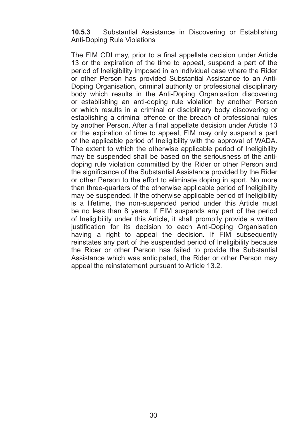#### **10.5.3** Substantial Assistance in Discovering or Establishing Anti-Doping Rule Violations

The FIM CDI may, prior to a final appellate decision under Article 13 or the expiration of the time to appeal, suspend a part of the period of Ineligibility imposed in an individual case where the Rider or other Person has provided Substantial Assistance to an Anti-Doping Organisation, criminal authority or professional disciplinary body which results in the Anti-Doping Organisation discovering or establishing an anti-doping rule violation by another Person or which results in a criminal or disciplinary body discovering or establishing a criminal offence or the breach of professional rules by another Person. After a final appellate decision under Article 13 or the expiration of time to appeal. FIM may only suspend a part of the applicable period of Ineligibility with the approval of WADA. The extent to which the otherwise applicable period of Ineligibility may be suspended shall be based on the seriousness of the antidoping rule violation committed by the Rider or other Person and the significance of the Substantial Assistance provided by the Rider or other Person to the effort to eliminate doping in sport. No more than three-quarters of the otherwise applicable period of Ineligibility may be suspended. If the otherwise applicable period of Ineligibility is a lifetime, the non-suspended period under this Article must be no less than 8 years. If FIM suspends any part of the period of Ineligibility under this Article, it shall promptly provide a written justification for its decision to each Anti-Doping Organisation having a right to appeal the decision. If FIM subsequently reinstates any part of the suspended period of Ineligibility because the Rider or other Person has failed to provide the Substantial Assistance which was anticipated, the Rider or other Person may appeal the reinstatement pursuant to Article 13.2.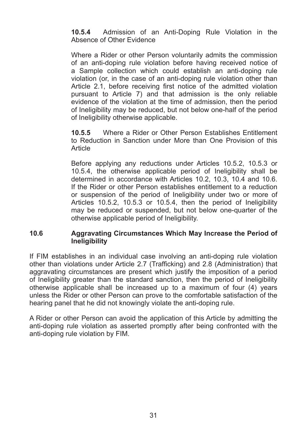**10.5.4** Admission of an Anti-Doping Rule Violation in the Absence of Other Evidence

Where a Rider or other Person voluntarily admits the commission of an anti-doping rule violation before having received notice of a Sample collection which could establish an anti-doping rule violation (or, in the case of an anti-doping rule violation other than Article 2.1, before receiving first notice of the admitted violation pursuant to Article 7) and that admission is the only reliable evidence of the violation at the time of admission, then the period of Ineligibility may be reduced, but not below one-half of the period of Ineligibility otherwise applicable.

**10.5.5** Where a Rider or Other Person Establishes Entitlement to Reduction in Sanction under More than One Provision of this Article

Before applying any reductions under Articles 10.5.2, 10.5.3 or 10.5.4, the otherwise applicable period of Ineligibility shall be determined in accordance with Articles  $10.2, 10.3, 10.4$  and  $10.6$ . If the Rider or other Person establishes entitlement to a reduction or suspension of the period of Ineligibility under two or more of Articles  $10.5.2$ ,  $10.5.3$  or  $10.5.4$ , then the period of Ineligibility may be reduced or suspended, but not below one-quarter of the otherwise applicable period of Ineligibility.

#### **10.6 Aggravating Circumstances Which May Increase the Period of Ineligibility**

If FIM establishes in an individual case involving an anti-doping rule violation other than violations under Article 2.7 (Trafficking) and 2.8 (Administration) that aggravating circumstances are present which justify the imposition of a period of Ineligibility greater than the standard sanction, then the period of Ineligibility otherwise applicable shall be increased up to a maximum of four  $(4)$  vears unless the Rider or other Person can prove to the comfortable satisfaction of the hearing panel that he did not knowingly violate the anti-doping rule.

A Rider or other Person can avoid the application of this Article by admitting the anti-doping rule violation as asserted promptly after being confronted with the anti-doping rule violation by FIM.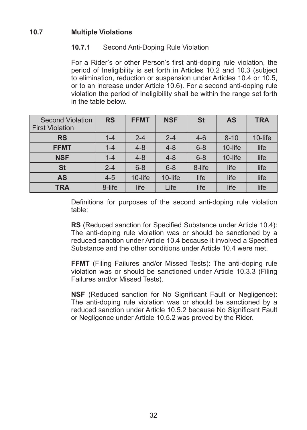#### **10.7 Multiple Violations**

#### **10.7.1** Second Anti-Doping Rule Violation

For a Rider's or other Person's first anti-doping rule violation, the period of Ineligibility is set forth in Articles  $10.2$  and  $10.3$  (subject to elimination, reduction or suspension under Articles 10.4 or 10.5. or to an increase under Article 10.6). For a second anti-doping rule violation the period of Ineligibility shall be within the range set forth in the table below

| Second Violation<br><b>First Violation</b> | <b>RS</b> | <b>FFMT</b> | <b>NSF</b> | <b>St</b> | <b>AS</b> | <b>TRA</b> |
|--------------------------------------------|-----------|-------------|------------|-----------|-----------|------------|
| <b>RS</b>                                  | $1 - 4$   | $2 - 4$     | $2 - 4$    | $4 - 6$   | $8 - 10$  | 10-life    |
| <b>FFMT</b>                                | $1 - 4$   | $4 - 8$     | $4 - 8$    | $6 - 8$   | 10-life   | life       |
| <b>NSF</b>                                 | $1 - 4$   | $4 - 8$     | $4 - 8$    | $6 - 8$   | 10-life   | life       |
| <b>St</b>                                  | $2 - 4$   | $6 - 8$     | $6 - 8$    | 8-life    | life      | life       |
| AS                                         | $4 - 5$   | 10-life     | 10-life    | life      | life      | life       |
| <b>TRA</b>                                 | 8-life    | life        | Life       | life      | life      | life       |

Definitions for purposes of the second anti-doping rule violation table:

**RS** (Reduced sanction for Specified Substance under Article 10.4): The anti-doping rule violation was or should be sanctioned by a reduced sanction under Article 10.4 because it involved a Specified Substance and the other conditions under Article 10.4 were met.

**FFMT** (Filing Failures and/or Missed Tests): The anti-doping rule violation was or should be sanctioned under Article 10.3.3 (Filing) Failures and/or Missed Tests).

**NSF** (Reduced sanction for No Significant Fault or Negligence): The anti-doping rule violation was or should be sanctioned by a reduced sanction under Article 10.5.2 because No Significant Fault or Negligence under Article 10.5.2 was proved by the Rider.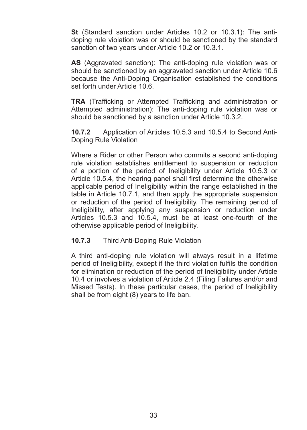**St** (Standard sanction under Articles 10.2 or 10.3.1): The antidoping rule violation was or should be sanctioned by the standard sanction of two years under Article 10.2 or 10.3.1.

**AS** (Aggravated sanction): The anti-doping rule violation was or should be sanctioned by an aggravated sanction under Article 10.6 because the Anti-Doping Organisation established the conditions set forth under Article 10.6

**TRA** (Trafficking or Attempted Trafficking and administration or Attempted administration): The anti-doping rule violation was or should be sanctioned by a sanction under Article 10.3.2.

**10.7.2** Application of Articles 10.5.3 and 10.5.4 to Second Anti-Doping Rule Violation

Where a Rider or other Person who commits a second anti-doping rule violation establishes entitlement to suspension or reduction of a portion of the period of Ineligibility under Article 10.5.3 or Article 10.5.4, the hearing panel shall first determine the otherwise applicable period of Ineligibility within the range established in the table in Article 10.7.1, and then apply the appropriate suspension or reduction of the period of Ineligibility. The remaining period of Ineligibility, after applying any suspension or reduction under Articles  $10.5.3$  and  $10.5.4$ , must be at least one-fourth of the otherwise applicable period of Ineligibility.

#### **10.7.3** Third Anti-Doping Rule Violation

A third anti-doping rule violation will always result in a lifetime period of Ineligibility, except if the third violation fulfils the condition for elimination or reduction of the period of Ineligibility under Article 10.4 or involves a violation of Article 2.4 (Filing Failures and/or and Missed Tests). In these particular cases, the period of Ineligibility shall be from eight  $(8)$  years to life ban.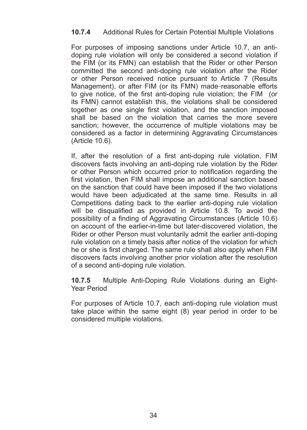#### **10.7.4** Additional Rules for Certain Potential Multiple Violations

For purposes of imposing sanctions under Article 10.7, an antidoping rule violation will only be considered a second violation if the FIM (or its FMN) can establish that the Rider or other Person committed the second anti-doping rule violation after the Rider or other Person received notice pursuant to Article 7 (Results) Management), or after FIM (or its FMN) made-reasonable efforts to give notice, of the first anti-doping rule violation; the FIM (or its FMN) cannot establish this, the violations shall be considered together as one single first violation, and the sanction imposed shall be based on the violation that carries the more severe sanction; however, the occurrence of multiple violations may be considered as a factor in determining Aggravating Circumstances (Article 10.6).

If, after the resolution of a first anti-doping rule violation. FIM discovers facts involving an anti-doping rule violation by the Rider or other Person which occurred prior to notification regarding the first violation, then FIM shall impose an additional sanction based on the sanction that could have been imposed if the two violations would have been adjudicated at the same time. Results in all Competitions dating back to the earlier anti-doping rule violation will be disqualified as provided in Article  $10.8$ . To avoid the possibility of a finding of Agaravating Circumstances (Article 10.6) on account of the earlier-in-time but later-discovered violation, the Rider or other Person must voluntarily admit the earlier anti-doping rule violation on a timely basis after notice of the violation for which he or she is first charged. The same rule shall also apply when FIM discovers facts involving another prior violation after the resolution of a second anti-doping rule violation.

**10.7.5** Multiple Anti-Doping Rule Violations during an Eight-Year Period

For purposes of Article 10.7, each anti-doping rule violation must take place within the same eight  $(8)$  vear period in order to be considered multiple violations.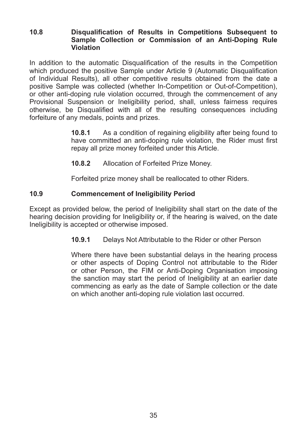#### **10.8** Disqualification of Results in Competitions Subsequent to Sample Collection or Commission of an Anti-Doping Rule **Violation**

In addition to the automatic Disqualification of the results in the Competition which produced the positive Sample under Article 9 (Automatic Disqualification of Individual Results), all other competitive results obtained from the date a positive Sample was collected (whether In-Competition or Out-of-Competition), or other anti-doping rule violation occurred, through the commencement of any Provisional Suspension or Ineligibility period, shall, unless fairness requires otherwise, be Disqualified with all of the resulting consequences including forfeiture of any medals, points and prizes.

> **10.8.1** As a condition of regaining eligibility after being found to have committed an anti-doping rule violation, the Rider must first repay all prize money forfeited under this Article.

**10.8.2** Allocation of Forfeited Prize Money.

Forfeited prize money shall be reallocated to other Riders.

#### **10.9 Commencement of Ineligibility Period**

Except as provided below, the period of Ineligibility shall start on the date of the hearing decision providing for Ineligibility or, if the hearing is waived, on the date Ineligibility is accepted or otherwise imposed.

**10.9.1** Delays Not Attributable to the Rider or other Person

Where there have been substantial delays in the hearing process or other aspects of Doping Control not attributable to the Rider or other Person, the FIM or Anti-Doping Organisation imposing the sanction may start the period of Ineligibility at an earlier date commencing as early as the date of Sample collection or the date on which another anti-doping rule violation last occurred.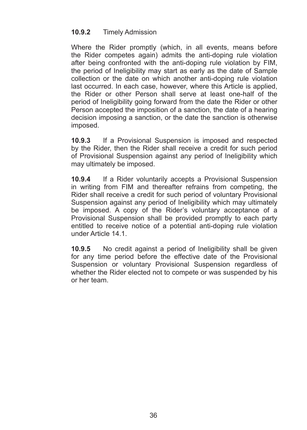#### 10.9.2 Timely Admission

Where the Rider promptly (which, in all events, means before the Rider competes again) admits the anti-doping rule violation after being confronted with the anti-doping rule violation by FIM, the period of Ineligibility may start as early as the date of Sample collection or the date on which another anti-doping rule violation last occurred. In each case, however, where this Article is applied, the Rider or other Person shall serve at least one-half of the period of Ineligibility going forward from the date the Rider or other Person accepted the imposition of a sanction, the date of a hearing decision imposing a sanction, or the date the sanction is otherwise imposed.

**10.9.3** If a Provisional Suspension is imposed and respected by the Rider, then the Rider shall receive a credit for such period of Provisional Suspension against any period of Ineligibility which may ultimately be imposed.

**10.9.4** If a Rider voluntarily accepts a Provisional Suspension in writing from FIM and thereafter refrains from competing, the Rider shall receive a credit for such period of voluntary Provisional Suspension against any period of Ineligibility which may ultimately be imposed. A copy of the Rider's voluntary acceptance of a Provisional Suspension shall be provided promptly to each party entitled to receive notice of a potential anti-doping rule violation under Article 14.1

**10.9.5** No credit against a period of Ineligibility shall be given for any time period before the effective date of the Provisional Suspension or voluntary Provisional Suspension regardless of whether the Rider elected not to compete or was suspended by his or her team.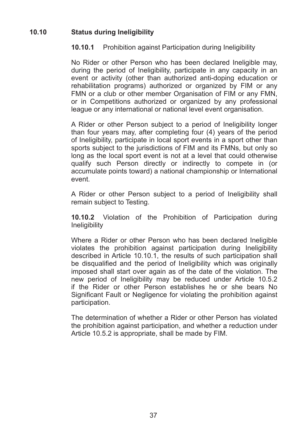#### 10.10 **Status during Ineligibility**

#### **10.10.1** Prohibition against Participation during Ineligibility

No Rider or other Person who has been declared Ineligible may. during the period of Ineligibility, participate in any capacity in an  $e$ vent or activity (other than authorized anti-doping education or rehabilitation programs) authorized or organized by FIM or any FMN or a club or other member Organisation of FIM or any FMN. or in Competitions authorized or organized by any professional league or any international or national level event organisation.

A Rider or other Person subject to a period of Ineligibility longer than four vears may, after completing four (4) years of the period of Ineligibility, participate in local sport events in a sport other than sports subject to the jurisdictions of FIM and its FMNs, but only so long as the local sport event is not at a level that could otherwise qualify such Person directly or indirectly to compete in (or accumulate points toward) a national championship or International event.

A Rider or other Person subject to a period of Ineligibility shall remain subject to Testing.

**10.10.2** Violation of the Prohibition of Participation during **Ineligibility** 

Where a Rider or other Person who has been declared Ineligible violates the prohibition against participation during Ineligibility described in Article 10.10.1, the results of such participation shall be disqualified and the period of Ineligibility which was originally imposed shall start over again as of the date of the violation. The new period of Ineligibility may be reduced under Article 10.5.2 if the Rider or other Person establishes he or she bears No Significant Fault or Negligence for violating the prohibition against participation.

The determination of whether a Rider or other Person has violated the prohibition against participation, and whether a reduction under Article 10.5.2 is appropriate, shall be made by FIM.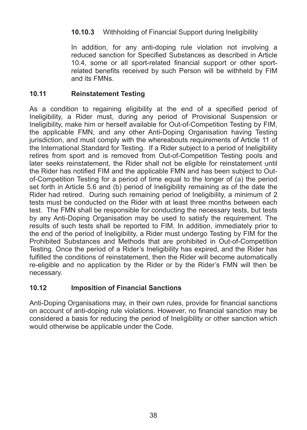#### **10.10.3** Withholding of Financial Support during Ineligibility

In addition, for any anti-doping rule violation not involving a reduced sanction for Specified Substances as described in Article 10.4, some or all sport-related financial support or other sportrelated benefits received by such Person will be withheld by FIM and its FMNs.

#### **10.11 Reinstatement Testing**

As a condition to regaining eligibility at the end of a specified period of Ineligibility, a Rider must, during any period of Provisional Suspension or Ineligibility, make him or herself available for Out-of-Competition Testing by FIM. the applicable FMN, and any other Anti-Doping Organisation having Testing jurisdiction, and must comply with the whereabouts requirements of Article 11 of the International Standard for Testing. If a Rider subject to a period of Ineligibility retires from sport and is removed from Out-of-Competition Testing pools and later seeks reinstatement, the Rider shall not be eligible for reinstatement until the Rider has notified FIM and the applicable FMN and has been subject to Outof-Competition Testing for a period of time equal to the longer of  $(a)$  the period set forth in Article 5.6 and (b) period of Ineligibility remaining as of the date the Rider had retired. During such remaining period of Ineligibility, a minimum of 2 tests must be conducted on the Rider with at least three months between each test. The FMN shall be responsible for conducting the necessary tests, but tests by any Anti-Doping Organisation may be used to satisfy the requirement. The results of such tests shall be reported to FIM. In addition, immediately prior to the end of the period of Ineligibility, a Rider must undergo Testing by FIM for the Prohibited Substances and Methods that are prohibited in Out-of-Competition Testing. Once the period of a Rider's Ineligibility has expired, and the Rider has fulfilled the conditions of reinstatement, then the Rider will become automatically re-eligible and no application by the Rider or by the Rider's FMN will then be necessary.

#### **10.12 Imposition of Financial Sanctions**

Anti-Doping Organisations may, in their own rules, provide for financial sanctions on account of anti-doping rule violations. However, no financial sanction may be considered a basis for reducing the period of Ineligibility or other sanction which would otherwise be applicable under the Code.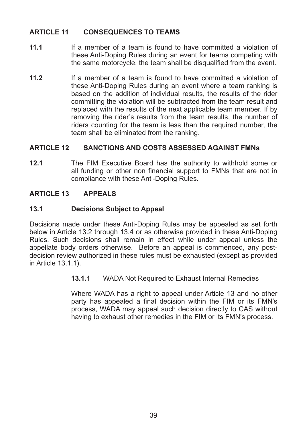#### **ARTICLE 11 CONSEQUENCES TO TEAMS**

- **11.1** If a member of a team is found to have committed a violation of these Anti-Doping Rules during an event for teams competing with the same motorcycle, the team shall be disqualified from the event.
- **11.2** If a member of a team is found to have committed a violation of these Anti-Doping Rules during an event where a team ranking is based on the addition of individual results, the results of the rider committing the violation will be subtracted from the team result and replaced with the results of the next applicable team member. If by removing the rider's results from the team results, the number of riders counting for the team is less than the required number, the team shall be eliminated from the ranking.

#### ARTICLE 12 **SANCTIONS AND COSTS ASSESSED AGAINST FMNs**

**12.1** The FIM Executive Board has the authority to withhold some or all funding or other non financial support to FMNs that are not in compliance with these Anti-Doping Rules.

#### **ARTICLE\*13 APPEALS**

#### **13.1 Decisions Subject to Appeal**

Decisions made under these Anti-Doping Rules may be appealed as set forth below in Article 13.2 through 13.4 or as otherwise provided in these Anti-Doping Rules. Such decisions shall remain in effect while under appeal unless the appellate body orders otherwise. Before an appeal is commenced, any postdecision review authorized in these rules must be exhausted (except as provided in Article 13.1.1).

**13.1.1** WADA Not Required to Exhaust Internal Remedies

Where WADA has a right to appeal under Article 13 and no other party has appealed a final decision within the FIM or its FMN's process, WADA may appeal such decision directly to CAS without having to exhaust other remedies in the FIM or its FMN's process.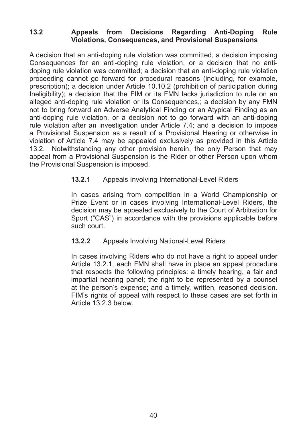#### 13.2 **Appeals from Decisions Regarding Anti-Doping Rule** Violations, Consequences, and Provisional Suspensions

A decision that an anti-doping rule violation was committed, a decision imposing Consequences for an anti-doping rule violation, or a decision that no antidoping rule violation was committed: a decision that an anti-doping rule violation proceeding cannot go forward for procedural reasons (including, for example, prescription): a decision under Article 10.10.2 (prohibition of participation during Ineligibility); a decision that the FIM or its FMN lacks jurisdiction to rule on an alleged anti-doping rule violation or its Consequences, a decision by any FMN not to bring forward an Adverse Analytical Finding or an Atypical Finding as an anti-doping rule violation, or a decision not to go forward with an anti-doping rule violation after an investigation under Article 7.4; and a decision to impose a Provisional Suspension as a result of a Provisional Hearing or otherwise in violation of Article 7.4 may be appealed exclusively as provided in this Article 13.2. Notwithstanding any other provision herein, the only Person that may appeal from a Provisional Suspension is the Rider or other Person upon whom the Provisional Suspension is imposed.

#### **13.2.1** Appeals Involving International-Level Riders

In cases arising from competition in a World Championship or Prize Event or in cases involving International-Level Riders, the decision may be appealed exclusively to the Court of Arbitration for Sport ("CAS") in accordance with the provisions applicable before such court.

#### **13.2.2** Appeals Involving National-Level Riders

In cases involving Riders who do not have a right to appeal under Article 13.2.1, each FMN shall have in place an appeal procedure that respects the following principles: a timely hearing, a fair and  $impartial$  hearing panel: the right to be represented by a counsel at the person's expense; and a timely, written, reasoned decision. FIM's rights of appeal with respect to these cases are set forth in Article 13.2.3 below.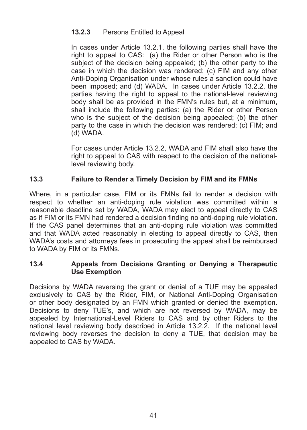#### **13.2.3** Persons Entitled to Appeal

In cases under Article 13.2.1, the following parties shall have the right to appeal to CAS: (a) the Rider or other Person who is the subject of the decision being appealed; (b) the other party to the case in which the decision was rendered:  $(c)$  FIM and any other Anti-Doping Organisation under whose rules a sanction could have been imposed: and (d) WADA. In cases under Article 13.2.2, the parties having the right to appeal to the national-level reviewing body shall be as provided in the FMN's rules but, at a minimum. shall include the following parties: (a) the Rider or other Person who is the subject of the decision being appealed: (b) the other party to the case in which the decision was rendered; (c) FIM; and (d)%WADA.

For cases under Article 13.2.2, WADA and FIM shall also have the right to appeal to CAS with respect to the decision of the nationallevel reviewing body.

#### **13.3 Failure to Render a Timely Decision by FIM and its FMNs**

Where, in a particular case, FIM or its FMNs fail to render a decision with respect to whether an anti-doping rule violation was committed within a reasonable deadline set by WADA, WADA may elect to appeal directly to CAS as if FIM or its FMN had rendered a decision finding no anti-doping rule violation. If the CAS panel determines that an anti-doping rule violation was committed and that WADA acted reasonably in electing to appeal directly to CAS, then WADA's costs and attorneys fees in prosecuting the appeal shall be reimbursed to WADA by FIM or its FMNs.

#### **13.4 Appeals from Decisions Granting or Denying a Therapeutic Use Exemption**

Decisions by WADA reversing the grant or denial of a TUE may be appealed exclusively to CAS by the Rider, FIM, or National Anti-Doping Organisation or other body designated by an FMN which granted or denied the exemption. Decisions to deny TUE's, and which are not reversed by WADA, may be appealed by International-Level Riders to CAS and by other Riders to the national level reviewing body described in Article 13.2.2. If the national level reviewing body reverses the decision to deny a TUE, that decision may be appealed to CAS by WADA.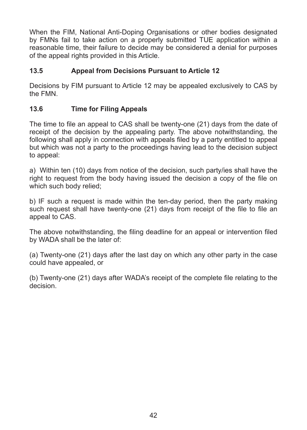When the FIM, National Anti-Doping Organisations or other bodies designated by FMNs fail to take action on a properly submitted TUE application within a reasonable time, their failure to decide may be considered a denial for purposes of the appeal rights provided in this Article.

#### **13.5 Appeal from Decisions Pursuant to Article 12**

Decisions by FIM pursuant to Article 12 may be appealed exclusively to CAS by the FMN

#### 13.6 **Time for Filing Appeals**

The time to file an appeal to CAS shall be twenty-one  $(21)$  days from the date of receipt of the decision by the appealing party. The above notwithstanding, the following shall apply in connection with appeals filed by a party entitled to appeal but which was not a party to the proceedings having lead to the decision subject to appeal:

a) Within ten (10) days from notice of the decision, such party/ies shall have the right to request from the body having issued the decision a copy of the file on which such body relied:

b) IF such a request is made within the ten-day period, then the party making such request shall have twenty-one (21) days from receipt of the file to file an appeal to CAS.

The above notwithstanding, the filing deadline for an appeal or intervention filed by WADA shall be the later of:

(a) Twenty-one (21) days after the last day on which any other party in the case could have appealed, or

(b) Twenty-one (21) days after WADA's receipt of the complete file relating to the decision.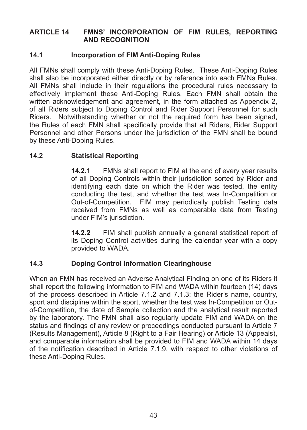#### **ARTICLE 14 FMNS' INCORPORATION OF FIM RULES, REPORTING AND\*RECOGNITION**

#### **14.1 Incorporation of FIM Anti-Doping Rules**

All FMNs shall comply with these Anti-Doping Rules. These Anti-Doping Rules shall also be incorporated either directly or by reference into each FMNs Rules. All FMNs shall include in their regulations the procedural rules necessary to effectively implement these Anti-Doping Rules. Each FMN shall obtain the written acknowledgement and agreement, in the form attached as Appendix 2, of all Riders subject to Doping Control and Rider Support Personnel for such Riders. Notwithstanding whether or not the required form has been signed. the Rules of each FMN shall specifically provide that all Riders. Rider Support Personnel and other Persons under the jurisdiction of the FMN shall be bound by these Anti-Doping Rules.

#### **14.2 Statistical Reporting**

**14.2.1** FMNs shall report to FIM at the end of every year results of all Doping Controls within their iurisdiction sorted by Rider and identifying each date on which the Rider was tested, the entity conducting the test, and whether the test was In-Competition or Out-of-Competition. FIM may periodically publish Testing data received from FMNs as well as comparable data from Testing under FIM's jurisdiction.

**14.2.2** FIM shall publish annually a general statistical report of its Doping Control activities during the calendar vear with a copy provided to WADA.

#### **14.3 Doping Control Information Clearinghouse**

When an FMN has received an Adverse Analytical Finding on one of its Riders it shall report the following information to FIM and WADA within fourteen (14) days of the process described in Article  $7.1.2$  and  $7.1.3$ : the Rider's name, country, sport and discipline within the sport, whether the test was In-Competition or Outof-Competition, the date of Sample collection and the analytical result reported by the laboratory. The FMN shall also regularly update FIM and WADA on the status and findings of any review or proceedings conducted pursuant to Article 7 (Results Management), Article 8 (Right to a Fair Hearing) or Article 13 (Appeals), and comparable information shall be provided to FIM and WADA within 14 days of the notification described in Article 7.1.9, with respect to other violations of these Anti-Doping Rules.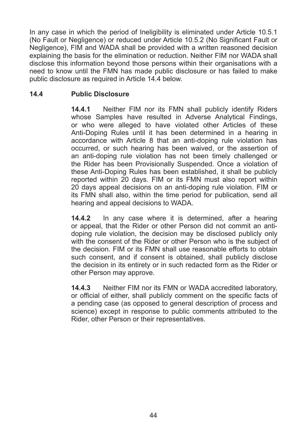In any case in which the period of Ineligibility is eliminated under Article 10.5.1 (No Fault or Negligence) or reduced under Article 10.5.2 (No Significant Fault or Negligence), FIM and WADA shall be provided with a written reasoned decision explaining the basis for the elimination or reduction. Neither FIM nor WADA shall disclose this information beyond those persons within their organisations with a need to know until the FMN has made public disclosure or has failed to make public disclosure as required in Article 14.4 below.

#### **14.4 Public\*Disclosure**

**14.4.1** Neither FIM nor its FMN shall publicly identify Riders whose Samples have resulted in Adverse Analytical Findings, or who were alleged to have violated other Articles of these Anti-Doping Rules until it has been determined in a hearing in accordance with Article 8 that an anti-doping rule violation has occurred, or such hearing has been waived, or the assertion of an anti-doping rule violation has not been timely challenged or the Rider has been Provisionally Suspended. Once a violation of these Anti-Doping Rules has been established, it shall be publicly reported within 20 days. FIM or its FMN must also report within 20 days appeal decisions on an anti-doping rule violation. FIM or its FMN shall also, within the time period for publication, send all hearing and appeal decisions to WADA.

**14.4.2** In any case where it is determined, after a hearing or appeal, that the Rider or other Person did not commit an antidoping rule violation, the decision may be disclosed publicly only with the consent of the Rider or other Person who is the subject of the decision. FIM or its FMN shall use reasonable efforts to obtain such consent, and if consent is obtained, shall publicly disclose the decision in its entirety or in such redacted form as the Rider or other Person may approve.

**14.4.3** Neither FIM nor its FMN or WADA accredited laboratory, or official of either, shall publicly comment on the specific facts of a pending case (as opposed to general description of process and science) except in response to public comments attributed to the Rider, other Person or their representatives.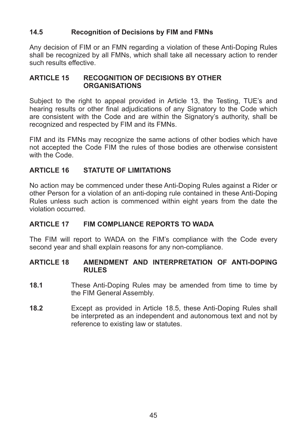#### **14.5 Recognition of Decisions by FIM and FMNs**

Any decision of FIM or an FMN regarding a violation of these Anti-Doping Rules shall be recognized by all FMNs, which shall take all necessary action to render such results effective.

#### **ARTICLE 15 RECOGNITION OF DECISIONS BY OTHER ORGANISATIONS**

Subject to the right to appeal provided in Article 13, the Testing, TUE's and hearing results or other final adjudications of any Signatory to the Code which are consistent with the Code and are within the Signatory's authority, shall be recognized and respected by FIM and its FMNs.

FIM and its FMNs may recognize the same actions of other bodies which have not accepted the Code FIM the rules of those bodies are otherwise consistent with the Code.

#### **ARTICLE 16 STATUTE OF LIMITATIONS**

No action may be commenced under these Anti-Doping Rules against a Rider or other Person for a violation of an anti-doping rule contained in these Anti-Doping Rules unless such action is commenced within eight years from the date the violation%occurred.

#### ARTICLE 17 FIM COMPLIANCE REPORTS TO WADA

The FIM will report to WADA on the FIM's compliance with the Code every second year and shall explain reasons for any non-compliance.

#### **ARTICLE 18 AMENDMENT AND INTERPRETATION OF ANTI-DOPING RULES**

- **18.1** These Anti-Doping Rules may be amended from time to time by the FIM General Assembly.
- **18.2** Except as provided in Article 18.5, these Anti-Doping Rules shall be interpreted as an independent and autonomous text and not by reference to existing law or statutes.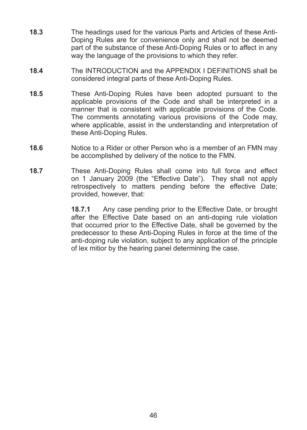- **18.3** The headings used for the various Parts and Articles of these Anti-Doping Rules are for convenience only and shall not be deemed part of the substance of these Anti-Doping Rules or to affect in any way the language of the provisions to which they refer.
- **18.4** The INTRODUCTION and the APPENDIX I DEFINITIONS shall be considered integral parts of these Anti-Doping Rules.
- **18.5** These Anti-Doping Rules have been adopted pursuant to the applicable provisions of the Code and shall be interpreted in a manner that is consistent with applicable provisions of the Code. The comments annotating various provisions of the Code may, where applicable, assist in the understanding and interpretation of these Anti-Doping Rules.
- **18.6** Notice to a Rider or other Person who is a member of an FMN may be accomplished by delivery of the notice to the FMN.
- **18.7** These Anti-Doping Rules shall come into full force and effect on 1 January 2009 (the "Effective Date"). They shall not apply retrospectively to matters pending before the effective Date; provided, however, that:

**18.7.1** Any case pending prior to the Effective Date, or brought after the Effective Date based on an anti-doping rule violation that occurred prior to the Effective Date, shall be governed by the predecessor to these Anti-Doping Rules in force at the time of the anti-doping rule violation, subject to any application of the principle of lex mitior by the hearing panel determining the case.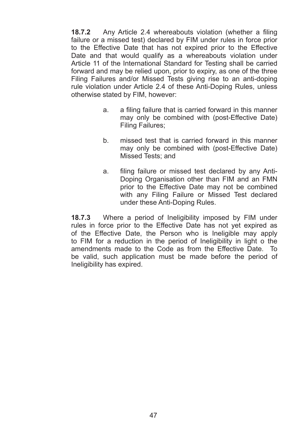**18.7.2** Any Article 2.4 whereabouts violation (whether a filing failure or a missed test) declared by FIM under rules in force prior to the Effective Date that has not expired prior to the Effective Date and that would qualify as a whereabouts violation under Article 11 of the International Standard for Testing shall be carried forward and may be relied upon, prior to expiry, as one of the three Filing Failures and/or Missed Tests giving rise to an anti-doping rule violation under Article 2.4 of these Anti-Doping Rules, unless otherwise stated by FIM, however:

- a. a filing failure that is carried forward in this manner may only be combined with (post-Effective Date) Filing Failures;
- b. missed test that is carried forward in this manner may only be combined with (post-Effective Date) Missed Tests: and
- a. filing failure or missed test declared by any Anti-Doping Organisation other than FIM and an FMN prior to the Effective Date may not be combined with any Filing Failure or Missed Test declared under these Anti-Doping Rules.

**18.7.3** Where a period of Ineligibility imposed by FIM under rules in force prior to the Effective Date has not vet expired as of the Effective Date, the Person who is Ineligible may apply to FIM for a reduction in the period of Ineligibility in light o the amendments made to the Code as from the Effective Date. To be valid, such application must be made before the period of Ineligibility has expired.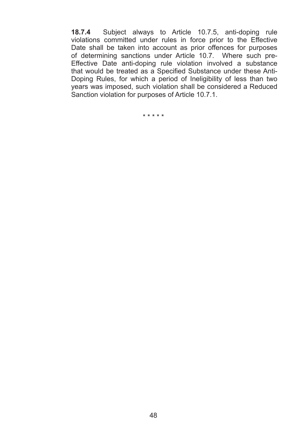**18.7.4** Subject always to Article 10.7.5, anti-doping rule violations committed under rules in force prior to the Effective Date shall be taken into account as prior offences for purposes of determining sanctions under Article 10.7. Where such pre- $E$ ffective Date anti-doping rule violation involved a substance that would be treated as a Specified Substance under these Anti-Doping Rules, for which a period of Ineligibility of less than two years was imposed, such violation shall be considered a Reduced Sanction violation for purposes of Article 10.7.1.

 $*****$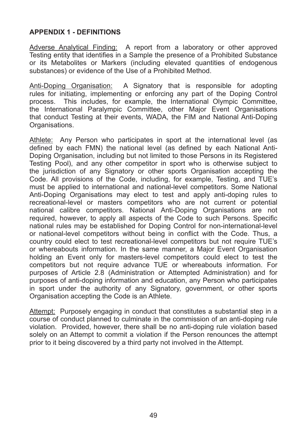#### **APPENDIX 1 - DEFINITIONS**

Adverse Analytical Finding: A report from a laboratory or other approved Testing entity that identifies in a Sample the presence of a Prohibited Substance or its Metabolites or Markers (including elevated quantities of endogenous substances) or evidence of the Use of a Prohibited Method.

Anti-Doping Organisation: A Signatory that is responsible for adopting rules for initiating, implementing or enforcing any part of the Doping Control  $p$ rocess. This includes, for example, the International Olympic Committee, the International Paralympic Committee, other Major Event Organisations that conduct Testing at their events, WADA, the FIM and National Anti-Doping Organisations.

Athlete: Any Person who participates in sport at the international level (as defined by each FMN) the national level (as defined by each National Anti-Doping Organisation, including but not limited to those Persons in its Registered Testing Pool), and any other competitor in sport who is otherwise subject to the jurisdiction of any Signatory or other sports Organisation accepting the Code. All provisions of the Code, including, for example, Testing, and TUE's must be applied to international and national-level competitors. Some National Anti-Doping Organisations may elect to test and apply anti-doping rules to  $recreational-level$  or masters competitors who are not current or potential national calibre competitors. National Anti-Doping Organisations are not required, however, to apply all aspects of the Code to such Persons. Specific national rules may be established for Doping Control for non-international-level or national-level competitors without being in conflict with the Code. Thus, a country could elect to test recreational-level competitors but not require TUE's or whereabouts information. In the same manner, a Major Event Organisation holding an Event only for masters-level competitors could elect to test the competitors but not require advance TUE or whereabouts information. For purposes of Article 2.8 (Administration or Attempted Administration) and for purposes of anti-doping information and education, any Person who participates in sport under the authority of any Signatory, government, or other sports Organisation accepting the Code is an Athlete.

Attempt: Purposely engaging in conduct that constitutes a substantial step in a course of conduct planned to culminate in the commission of an anti-doping rule violation. Provided, however, there shall be no anti-doping rule violation based solely on an Attempt to commit a violation if the Person renounces the attempt prior to it being discovered by a third party not involved in the Attempt.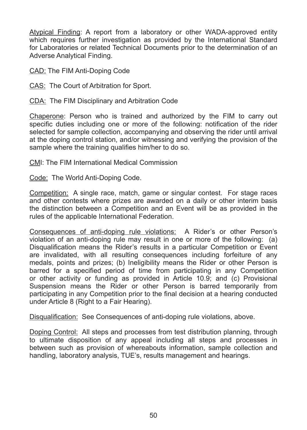Atypical Finding: A report from a laboratory or other WADA-approved entity which requires further investigation as provided by the International Standard for Laboratories or related Technical Documents prior to the determination of an Adverse Analytical Finding.

CAD: The FIM Anti-Doping Code

CAS: The Court of Arbitration for Sport.

CDA: The FIM Disciplinary and Arbitration Code

Chaperone: Person who is trained and authorized by the  $FIM$  to carry out specific duties including one or more of the following: notification of the rider selected for sample collection, accompanying and observing the rider until arrival at the doping control station, and/or witnessing and verifying the provision of the sample where the training qualifies him/her to do so.

CMI: The FIM International Medical Commission

Code: The World Anti-Doping Code.

Competition: A single race, match, game or singular contest. For stage races and other contests where prizes are awarded on a daily or other interim basis the distinction between a Competition and an Event will be as provided in the rules of the applicable International Federation.

Consequences of anti-doping rule violations: A Rider's or other Person's violation of an anti-doping rule may result in one or more of the following:  $(a)$ Disqualification means the Rider's results in a particular Competition or Event are invalidated, with all resulting consequences including forfeiture of any medals, points and prizes: (b) Ineligibility means the Rider or other Person is barred for a specified period of time from participating in any Competition or other activity or funding as provided in Article 10.9; and  $(c)$  Provisional Suspension means the Rider or other Person is barred temporarily from participating in any Competition prior to the final decision at a hearing conducted under Article 8 (Right to a Fair Hearing).

Disqualification: See Consequences of anti-doping rule violations, above.

Doping Control: All steps and processes from test distribution planning, through to ultimate disposition of any appeal including all steps and processes in between such as provision of whereabouts information, sample collection and handling, laboratory analysis, TUE's, results management and hearings.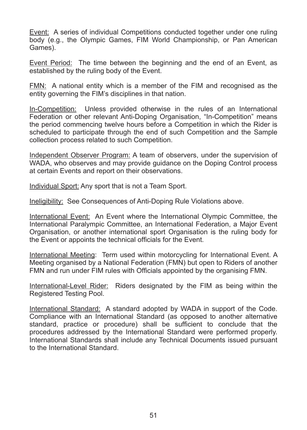Event: A series of individual Competitions conducted together under one ruling body (e.g., the Olympic Games, FIM World Championship, or Pan American Games).

Event Period: The time between the beginning and the end of an Event, as established by the ruling body of the Event.

FMN: A national entity which is a member of the FIM and recognised as the entity governing the FIM's disciplines in that nation.

In-Competition: Unless provided otherwise in the rules of an International Federation or other relevant Anti-Doping Organisation, "In-Competition" means the period commencing twelve hours before a Competition in which the Rider is scheduled to participate through the end of such Competition and the Sample collection process related to such Competition.

Independent Observer Program: A team of observers, under the supervision of WADA, who observes and may provide guidance on the Doping Control process at certain Events and report on their observations.

Individual Sport: Any sport that is not a Team Sport.

Ineligibility: See Consequences of Anti-Doping Rule Violations above.

International Event: An Event where the International Olympic Committee, the International Paralympic Committee, an International Federation, a Major Event Organisation, or another international sport Organisation is the ruling body for the Event or appoints the technical officials for the Event.

International Meeting: Term used within motorcycling for International Event. A Meeting organised by a National Federation (FMN) but open to Riders of another FMN and run under FIM rules with Officials appointed by the organising FMN.

International-Level Rider: Riders designated by the FIM as being within the Registered Testing Pool.

International Standard: A standard adopted by WADA in support of the Code. Compliance with an International Standard (as opposed to another alternative standard, practice or procedure) shall be sufficient to conclude that the procedures addressed by the International Standard were performed properly. International Standards shall include any Technical Documents issued pursuant to the International Standard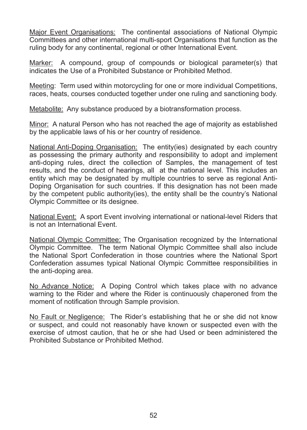Major Event Organisations: The continental associations of National Olympic Committees and other international multi-sport Organisations that function as the ruling body for any continental, regional or other International Event.

Marker: A compound, group of compounds or biological parameter(s) that indicates the Use of a Prohibited Substance or Prohibited Method.

Meeting: Term used within motorcycling for one or more individual Competitions. races, heats, courses conducted together under one ruling and sanctioning body.

Metabolite: Any substance produced by a biotransformation process.

Minor: A natural Person who has not reached the age of majority as established by the applicable laws of his or her country of residence.

National Anti-Doping Organisation: The entity(ies) designated by each country as possessing the primary authority and responsibility to adopt and implement anti-doping rules, direct the collection of Samples, the management of test results, and the conduct of hearings, all at the national level. This includes an entity which may be designated by multiple countries to serve as regional Anti-Doping Organisation for such countries. If this designation has not been made by the competent public authority(ies), the entity shall be the country's National Olympic Committee or its designee.

National Event: A sport Event involving international or national-level Riders that is not an International Event.

National Olympic Committee: The Organisation recognized by the International Olympic Committee. The term National Olympic Committee shall also include the National Sport Confederation in those countries where the National Sport Confederation assumes typical National Olympic Committee responsibilities in the anti-doping area.

No Advance Notice: A Doping Control which takes place with no advance warning to the Rider and where the Rider is continuously chaperoned from the moment of notification through Sample provision.

No Fault or Negligence: The Rider's establishing that he or she did not know or suspect, and could not reasonably have known or suspected even with the exercise of utmost caution, that he or she had Used or been administered the Prohibited Substance or Prohibited Method.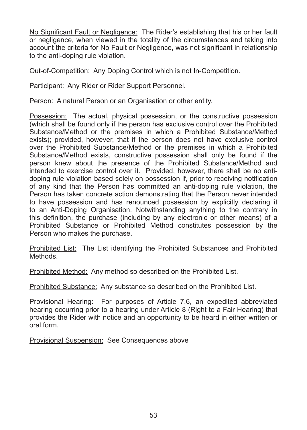No Significant Fault or Negligence: The Rider's establishing that his or her fault or negligence, when viewed in the totality of the circumstances and taking into account the criteria for No Fault or Negligence, was not significant in relationship to the anti-doping rule violation.

Out-of-Competition: Any Doping Control which is not In-Competition.

Participant: Any Rider or Rider Support Personnel.

Person: A natural Person or an Organisation or other entity.

Possession: The actual, physical possession, or the constructive possession (which shall be found only if the person has exclusive control over the Prohibited Substance/Method or the premises in which a Prohibited Substance/Method exists): provided, however, that if the person does not have exclusive control over the Prohibited Substance/Method or the premises in which a Prohibited Substance/Method exists, constructive possession shall only be found if the person knew about the presence of the Prohibited Substance/Method and intended to exercise control over it. Provided, however, there shall be no antidoping rule violation based solely on possession if, prior to receiving notification of any kind that the Person has committed an anti-doping rule violation, the Person has taken concrete action demonstrating that the Person never intended to have possession and has renounced possession by explicitly declaring it to an Anti-Doping Organisation. Notwithstanding anything to the contrary in this definition, the purchase (including by any electronic or other means) of a Prohibited Substance or Prohibited Method constitutes possession by the Person who makes the purchase.

Prohibited List: The List identifying the Prohibited Substances and Prohibited Methods.

Prohibited Method: Any method so described on the Prohibited List.

Prohibited Substance: Any substance so described on the Prohibited List.

Provisional Hearing: For purposes of Article 7.6, an expedited abbreviated hearing occurring prior to a hearing under Article 8 (Right to a Fair Hearing) that provides the Rider with notice and an opportunity to be heard in either written or  $\overline{\phantom{a}}$ oral form.

Provisional Suspension: See Consequences above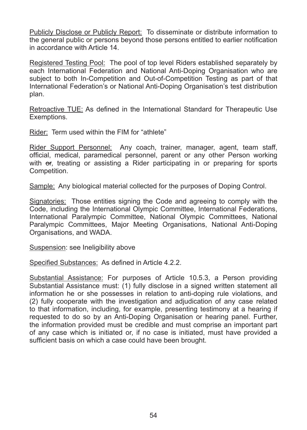Publicly Disclose or Publicly Report: To disseminate or distribute information to the general public or persons beyond those persons entitled to earlier notification in accordance with Article 14

Registered Testing Pool: The pool of top level Riders established separately by each International Federation and National Anti-Doping Organisation who are subject to both In-Competition and Out-of-Competition Testing as part of that International Federation's or National Anti-Doping Organisation's test distribution plan.

Retroactive TUE: As defined in the International Standard for Therapeutic Use Exemptions.

Rider: Term used within the FIM for "athlete"

Rider Support Personnel: Any coach, trainer, manager, agent, team staff, official, medical, paramedical personnel, parent or any other Person working with or, treating or assisting a Rider participating in or preparing for sports Competition.

Sample: Any biological material collected for the purposes of Doping Control.

Signatories: Those entities signing the Code and agreeing to comply with the Code, including the International Olympic Committee, International Federations, International Paralympic Committee, National Olympic Committees, National Paralympic Committees, Major Meeting Organisations, National Anti-Doping Organisations, and WADA.

Suspension: see Ineligibility above

Specified Substances: As defined in Article 4.2.2.

Substantial Assistance: For purposes of Article 10.5.3, a Person providing Substantial Assistance must: (1) fully disclose in a signed written statement all information he or she possesses in relation to anti-doping rule violations, and  $(2)$  fully cooperate with the investigation and adjudication of any case related to that information, including, for example, presenting testimony at a hearing if requested to do so by an Anti-Doping Organisation or hearing panel. Further, the information provided must be credible and must comprise an important part of any case which is initiated or, if no case is initiated, must have provided a sufficient basis on which a case could have been brought.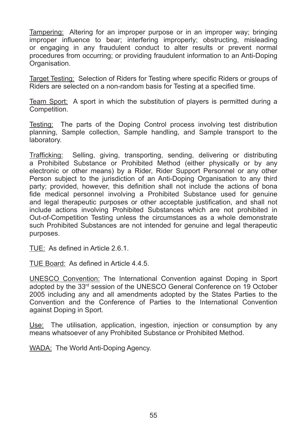Tampering: Altering for an improper purpose or in an improper way; bringing improper influence to bear; interfering improperly; obstructing, misleading or engaging in any fraudulent conduct to alter results or prevent normal procedures from occurring: or providing fraudulent information to an Anti-Doping Organisation.

Target Testing: Selection of Riders for Testing where specific Riders or groups of Riders are selected on a non-random basis for Testing at a specified time.

Team Sport: A sport in which the substitution of players is permitted during a Competition.

Testing: The parts of the Doping Control process involving test distribution planning, Sample collection, Sample handling, and Sample transport to the laboratory.

Trafficking: Selling, giving, transporting, sending, delivering or distributing a Prohibited Substance or Prohibited Method (either physically or by any electronic or other means) by a Rider, Rider Support Personnel or any other Person subject to the iurisdiction of an Anti-Doping Organisation to any third party: provided, however, this definition shall not include the actions of bona fide medical personnel involving a Prohibited Substance used for genuine and legal therapeutic purposes or other acceptable justification, and shall not include actions involving Prohibited Substances which are not prohibited in Out-of-Competition Testing unless the circumstances as a whole demonstrate such Prohibited Substances are not intended for genuine and legal therapeutic purposes.

TUE: As defined in Article 2.6.1.

TUE Board: As defined in Article 4.4.5.

UNESCO% Convention:% The% International% Convention% against% Doping% in% Sport% adopted by the 33rd session of the UNESCO General Conference on 19 October 2005 including any and all amendments adopted by the States Parties to the Convention and the Conference of Parties to the International Convention against Doping in Sport.

Use: The utilisation, application, ingestion, injection or consumption by any means whatsoever of any Prohibited Substance or Prohibited Method.

WADA: The World Anti-Doping Agency.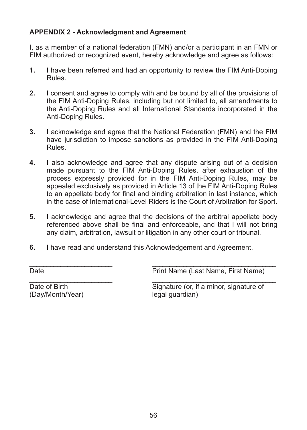#### **APPENDIX 2 - Acknowledgment and Agreement**

I, as a member of a national federation (FMN) and/or a participant in an FMN or FIM authorized or recognized event, hereby acknowledge and agree as follows:

- **1.** I have been referred and had an opportunity to review the FIM Anti-Doping Rules.
- **2.** I consent and agree to comply with and be bound by all of the provisions of the FIM Anti-Doping Rules, including but not limited to, all amendments to the Anti-Doping Rules and all International Standards incorporated in the Anti-Doping Rules.
- **3.** I acknowledge and agree that the National Federation (FMN) and the FIM have jurisdiction to impose sanctions as provided in the FIM Anti-Doping Rules.
- **4.** I also acknowledge and agree that any dispute arising out of a decision made pursuant to the FIM Anti-Doping Rules, after exhaustion of the process expressly provided for in the FIM Anti-Doping Rules, may be appealed exclusively as provided in Article 13 of the FIM Anti-Doping Rules to an appellate body for final and binding arbitration in last instance, which in the case of International-Level Riders is the Court of Arbitration for Sport.
- **5.** I acknowledge and agree that the decisions of the arbitral appellate body referenced above shall be final and enforceable, and that I will not bring any claim, arbitration, lawsuit or litigation in any other court or tribunal.

\_\_\_\_\_\_\_\_\_\_\_\_\_\_\_\_\_\_\_\_\_\_\_\_% % \_\_\_\_\_\_\_\_\_\_\_\_\_\_\_\_\_\_\_\_\_\_\_\_\_\_\_\_\_\_\_\_\_\_\_\_

**6.** I have read and understand this Acknowledgement and Agreement.

\_\_\_\_\_\_\_\_\_\_\_\_\_\_\_\_\_\_\_\_\_\_\_\_% % \_\_\_\_\_\_\_\_\_\_\_\_\_\_\_\_\_\_\_\_\_\_\_\_\_\_\_\_\_\_\_\_\_\_\_\_ Date **Date Print Name (Last Name, First Name)** 

(Day/Month/Year)% % legal%guardian)

Date of Birth Signature (or, if a minor, signature of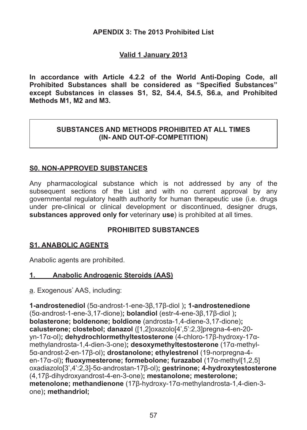#### **APENDIX 3: The 2013 Prohibited List**

#### **Valid\*1\*January\*2013**

In accordance with Article 4.2.2 of the World Anti-Doping Code, all **Prohibited Substances shall be considered as "Specified Substances"** except Substances in classes S1, S2, S4.4, S4.5, S6.a, and Prohibited Methods M1, M2 and M3.

#### SUBSTANCES AND METHODS PROHIBITED AT ALL TIMES **(IN-AND OUT-OF-COMPETITION)**

#### **S0. NON-APPROVED SUBSTANCES**

Any pharmacological substance which is not addressed by any of the subsequent sections of the List and with no current approval by any governmental regulatory health authority for human therapeutic use (i.e. drugs under pre-clinical or clinical development or discontinued, designer drugs, **substances approved only for** veterinary **use**) is prohibited at all times.

#### **PROHIBITED SUBSTANCES**

#### **S1. ANABOLIC AGENTS**

Anabolic agents are prohibited.

#### 1. **Anabolic Androgenic Steroids (AAS)**

a. Exogenous<sup>\*</sup> AAS, including:

**1-androstenediol** (5 $\alpha$ -androst-1-ene-38.178-diol): **1-androstenedione** (5α-androst-1-ene-3.17-dione): **bolandiol** (estr-4-ene-3β.17β-diol): **bolasterone; boldenone; boldione** (androsta-1,4-diene-3,17-dione); **calusterone: clostebol: danazol** ([1,2]oxazolo[4',5':2,3]pregna-4-en-20vn-17g-ol)**: dehydrochlormethyltestosterone** (4-chloro-176-hydroxy-17gmethylandrosta-1,4-dien-3-one); desoxymethyltestosterone (17a-methyl- $5α$ -androst-2-en-17β-ol)**: drostanolone: ethylestrenol** (19-norpregna-4en-17α-ol)**: fluoxymesterone: formebolone: furazabol** (17α-methyl[1,2,5] oxadiazolo<sup>[3]</sup> 4':2.31-5q-androstan-176-ol): **gestrinone: 4-hydroxytestosterone** (4.17<sub>B</sub>-dihydroxyandrost-4-en-3-one); mestanolone; mesterolone; **metenolone: methandienone** (17β-hνdroxν-17α-methylandrosta-1.4-dien-3one)**:** methandriol: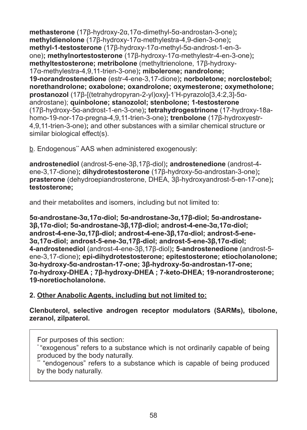**methasterone** (17β-hνdroxν-2α.17α-dimethνl-5α-androstan-3-one): **methyldienolone** (17β-hydroxy-17α-methylestra-4 9-dien-3-one): methyl-1-testosterone (17β-hydroxy-17α-methyl-5α-androst-1-en-3one)**: methylnortestosterone** (178-hydroxy-17q-methylestr-4-en-3-one); methyltestosterone; metribolone (methyltrienolone, 17<sub>8</sub>-hydroxy- $17α$ -methylestra-4.9.11-trien-3-one)**: mibolerone: nandrolone: 19-norandrostenedione** (estr-4-ene-3,17-dione); norboletone: norclostebol: horethandrolone: oxabolone: oxandrolone: oxymesterone: oxymetholone: prostanozol (17β-[(tetrahydropyran-2-yl)oxy]-1'H-pyrazolo[3,4:2,3]-5αandrostane): **quinbolone: stanozolol: stenbolone: 1-testosterone**  $(178-hvdroxv-5α-androst-1-en-3-one)$ : **tetrahydrogestrinone** (17-hydroxy-18ahomo-19-nor-17g-pregna-4.9.11-trien-3-one)**: trenbolone** (178-hydroxyestr-4,9,11-trien-3-one); and other substances with a similar chemical structure or similar biological effect(s).

b. Endogenous\*\* AAS when administered exogenously:

**androstenediol** (androst-5-ene-3 $\beta$ , 17 $\beta$ -diol); **androstenedione** (androst-4ene-3.17-dione)**: dihydrotestosterone** (17β-hydroxy-5α-androstan-3-one): **prasterone** (dehydroepiandrosterone, DHEA, 38-hydroxyandrost-5-en-17-one); **testosteronee**

and their metabolites and isomers, including but not limited to:

**5α-androstane-3α.17α-diol: 5α-androstane-3α.17β-diol: 5α-androstane-** $36.17\alpha$ -diol: 5α-androstane-36.176-diol: androst-4-ene-3α.17α-diol: androst-4-ene-3α,17β-diol; androst-4-ene-3β,17α-diol; androst-5-ene- $3α.17α$ -diol: androst-5-ene-3α.17β-diol: androst-5-ene-3β.17α-diol: 4-androstenediol (androst-4-ene-3B.17B-diol)**: 5-androstenedione** (androst-5ene-3.17-dione)**: epi-dihydrotestosterone: epitestosterone: etiocholanolone:**  $3α$ -hydroxy-5α-androstan-17-one: 3β-hydroxy-5α-androstan-17-one: **7α-hydroxy-DHEA**; 7β-hydroxy-DHEA; 7-keto-DHEA; 19-norandrosterone; **19%noretiocholanolone.**

#### 2. Other Anabolic Agents, including but not limited to:

**Clenbuterol,\* selective\* androgen\* receptor\* modulators\* (SARMs),\* tibolone,\*** zeranol, zilpaterol.

For purposes of this section:

\* "exogenous" refers to a substance which is not ordinarily capable of being produced by the body naturally.

"endogenous" refers to a substance which is capable of being produced by the body naturally.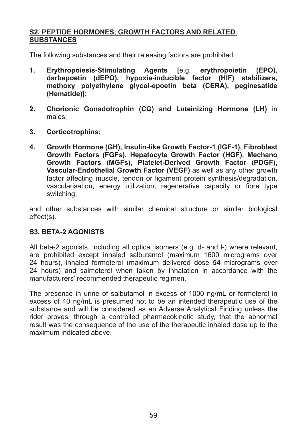#### S2. PEPTIDE HORMONES, GROWTH FACTORS AND RELATED **SUBSTANCES**

The following substances and their releasing factors are prohibited:

- **1. Erythropoiesis-Stimulating Agents** [e.g. erythropoietin (EPO), darbepoetin (dEPO), hypoxia-inducible factor (HIF) stabilizers, methoxy polyethylene glycol-epoetin beta (CERA), peginesatide (Hematide)1:
- **2.** Chorionic Gonadotrophin (CG) and Luteinizing Hormone (LH) in males<sup>1</sup>
- **3.** Corticotrophins:
- **4.** Growth Hormone (GH), Insulin-like Growth Factor-1 (IGF-1), Fibroblast **Growth Factors (FGFs). Hepatocyte Growth Factor (HGF), Mechano Growth Factors (MGFs). Platelet-Derived Growth Factor (PDGF). Vascular-Endothelial Growth Factor (VEGF) as well as any other growth** factor affecting muscle, tendon or ligament protein synthesis/degradation, vascularisation, energy utilization, regenerative capacity or fibre type switching;

and other substances with similar chemical structure or similar biological effect(s).

#### S3. BETA-2 AGONISTS

All beta-2 agonists, including all optical isomers (e.g.  $d$ - and  $l$ -) where relevant, are prohibited except inhaled salbutamol (maximum 1600 micrograms over 24 hours), inhaled formoterol (maximum delivered dose **54** micrograms over  $24$  hours) and salmeterol when taken by inhalation in accordance with the manufacturers' recommended therapeutic regimen.

The presence in urine of salbutamol in excess of  $1000$  ng/mL or formoterol in excess of 40 ng/mL is presumed not to be an intended therapeutic use of the substance and will be considered as an Adverse Analytical Finding unless the rider proves, through a controlled pharmacokinetic study, that the abnormal result was the consequence of the use of the therapeutic inhaled dose up to the maximum indicated above.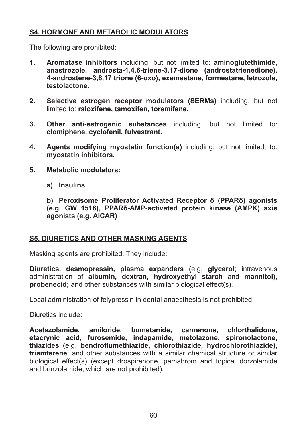#### **S4. HORMONE AND METABOLIC MODULATORS**

The following are prohibited:

- **1. Aromatase inhibitors** including, but not limited to: **aminoglutethimide.** anastrozole, androsta-1,4,6-triene-3,17-dione (androstatrienedione), **4%androstene%3,6,17\*trione\*(6%oxo),\*exemestane,\*formestane,\*letrozole,\* testolactone.**
- **2. Selective estrogen receptor modulators (SERMs)** including, but not limited to: raloxifene, tamoxifen, toremifene.
- **3. Other anti-estrogenic substances** including, but not limited to: **clomiphene,\*cyclofenil,\*fulvestrant.**
- **4. Agents modifying myostatin function(s)** including, but not limited, to: myostatin inhibitors.
- **5. Metabolic modulators:** 
	- **a) Insulins**

**b)** Peroxisome Proliferator Activated Receptor δ (PPARδ) agonists  $\left($ e.g. GW 1516). PPAR<sub>2</sub>-AMP-activated protein kinase (AMPK) axis agonists (e.g. AICAR)

#### **S5. DIURETICS AND OTHER MASKING AGENTS**

Masking agents are prohibited. They include:

**Diuretics, desmopressin, plasma expanders (e.g. glycerol; intravenous** administration of **albumin, dextran, hydroxyethyl starch** and mannitol), **probenecid:** and other substances with similar biological effect(s).

Local administration of felypressin in dental anaesthesia is not prohibited.

Diuretics include:

**Acetazolamide,\* amiloride,\* bumetanide,\* canrenone,\* chlorthalidone,\*** etacrynic acid, furosemide, indapamide, metolazone, spironolactone,  $t$ hiazides (e.g. bendroflumethiazide, chlorothiazide, hydrochlorothiazide), **triamterene**: and other substances with a similar chemical structure or similar biological effect(s) (except drospirenone, pamabrom and topical dorzolamide and brinzolamide, which are not prohibited).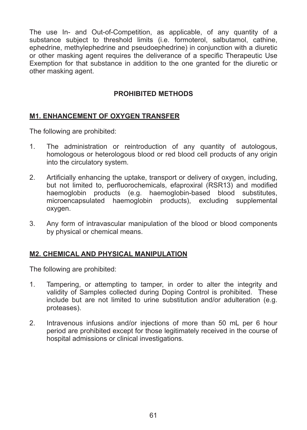The use In- and Out-of-Competition, as applicable, of any quantity of a substance subject to threshold limits (i.e. formoterol, salbutamol, cathine, ephedrine, methylephedrine and pseudoephedrine) in conjunction with a diuretic or other masking agent requires the deliverance of a specific Therapeutic Use Exemption for that substance in addition to the one granted for the diuretic or other masking agent.

#### **PROHIBITED METHODS**

#### **M1. ENHANCEMENT OF OXYGEN TRANSFER**

The following are prohibited:

- 1. The administration or reintroduction of any quantity of autologous, homologous or heterologous blood or red blood cell products of any origin into the circulatory system.
- 2. Artificially enhancing the uptake, transport or delivery of oxygen, including, but not limited to, perfluorochemicals, efaproxiral (RSR13) and modified haemoglobin products (e.g. haemoglobin-based blood substitutes, microencapsulated haemoglobin products), excluding supplemental oxygen.
- 3. Any form of intravascular manipulation of the blood or blood components by physical or chemical means.

#### **M2. CHEMICAL AND PHYSICAL MANIPULATION**

The following are prohibited:

- 1. Tampering, or attempting to tamper, in order to alter the integrity and validity of Samples collected during Doping Control is prohibited. These include but are not limited to urine substitution and/or adulteration (e.g. proteases).
- 2. Intravenous infusions and/or injections of more than  $50$  mL per  $6$  hour period are prohibited except for those legitimately received in the course of hospital admissions or clinical investigations.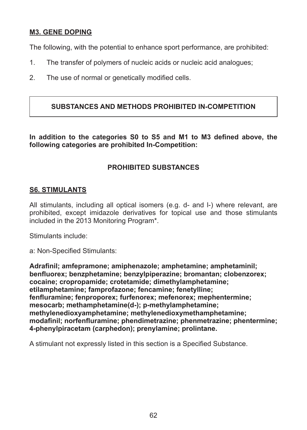#### **M3. GENE DOPING**

The following, with the potential to enhance sport performance, are prohibited:

- 1. The transfer of polymers of nucleic acids or nucleic acid analogues:
- 2. The use of normal or genetically modified cells.

#### SUBSTANCES AND METHODS PROHIBITED IN-COMPETITION

In addition to the categories S0 to S5 and M1 to M3 defined above, the **Inc. 5 Following categories are prohibited In-Competition:** 

#### **PROHIBITED SUBSTANCES**

#### **S6. STIMULANTS**

All stimulants, including all optical isomers (e.g.  $d$ - and  $l$ -) where relevant, are prohibited, except imidazole derivatives for topical use and those stimulants  $\frac{1}{2}$  included in the 2013 Monitoring Program\*.

Stimulants include:

a: Non-Specified Stimulants:

**Adrafinil: amfepramone: amiphenazole: amphetamine: amphetaminil: Ehablah EXABLE EXABLE EXABLE EXABLE** *E* **EXABLE** *E* **EXPONDENCIONAL <b>EXABLE** *E* EDDICATE **EXABLE 2** EXABLE **EXABLE 2** EXABLE **EXABLE 2** EXABLE **EXABLE 2** EXABLE **2** EXABLE **2** EXABLE **2** EXABLE **2** EXABLE **2** EXABL cocaine; cropropamide; crotetamide; dimethylamphetamine; etilamphetamine; famprofazone; fencamine; fenetylline;  $I$  **fenfluramine; fenproporex; furfenorex; mefenorex; mephentermine;** mesocarb; methamphetamine(d-); p-methylamphetamine;  $m$ ethylenedioxyamphetamine; methylenedioxymethamphetamine;  $modafinil;$  norfenfluramine; phendimetrazine; phenmetrazine; phentermine; 4-phenylpiracetam (carphedon); prenylamine; prolintane.

A stimulant not expressly listed in this section is a Specified Substance.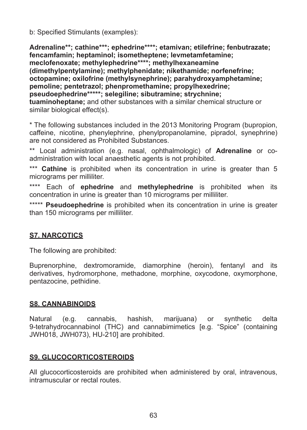b: Specified Stimulants (examples):

Adrenaline\*\*; cathine\*\*\*; ephedrine\*\*\*\*; etamivan; etilefrine; fenbutrazate; fencamfamin: heptaminol: isometheptene: levmetamfetamine: meclofenoxate; methylephedrine\*\*\*\*; methylhexaneamine (dimethylpentylamine): methylphenidate: nikethamide: norfenefrine:  $octopamine: oxilofrine (methylsynephrine); parahydroxyamphetamine;$ pemoline: pentetrazol: phenpromethamine: propylhexedrine:  $p$ seudoephedrine\*\*\*\*\*; selegiline; sibutramine; strychnine; **tuaminoheptane:** and other substances with a similar chemical structure or similar biological effect(s).

\* The following substances included in the 2013 Monitoring Program (bupropion, caffeine, nicotine, phenylephrine, phenylpropanolamine, pipradol, synephrine) are not considered as Prohibited Substances

\*\* Local administration (e.g. nasal, ophthalmologic) of **Adrenaline** or coadministration with local anaesthetic agents is not prohibited.

\*\*\* **Cathine** is prohibited when its concentration in urine is greater than 5 micrograms per milliliter.

\*\*\*\* Each of **ephedrine** and **methylephedrine** is prohibited when its concentration in urine is greater than 10 micrograms per milliliter.

\*\*\*\*\* Pseudoephedrine is prohibited when its concentration in urine is greater than 150 micrograms per milliliter.

## **S7. NARCOTICS**

The following are prohibited:

Buprenorphine, dextromoramide, diamorphine (heroin), fentanyl and its derivatives, hydromorphone, methadone, morphine, oxycodone, oxymorphone, pentazocine, pethidine.

#### **S8. CANNABINOIDS**

Natural (e.g. cannabis, hashish, marijuana) or synthetic delta 9-tetrahydrocannabinol (THC) and cannabimimetics [e.g. "Spice" (containing JWH018, JWH073), HU-210] are prohibited.

#### S9. GLUCOCORTICOSTEROIDS

All glucocorticosteroids are prohibited when administered by oral, intravenous, intramuscular or rectal routes.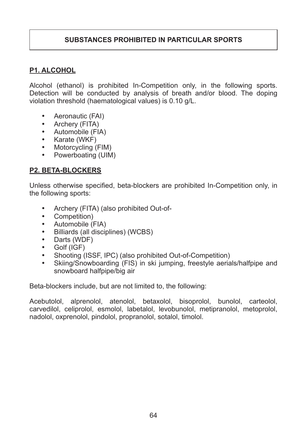#### SUBSTANCES PROHIBITED IN PARTICULAR SPORTS

#### **P1. ALCOHOL**

Alcohol (ethanol) is prohibited In-Competition only, in the following sports. Detection will be conducted by analysis of breath and/or blood. The doping violation threshold (haematological values) is 0.10 g/L.

- Aeronautic (FAI)
- Archery (FITA)
- Automobile (FIA)
- Karate (WKF)<br>• Motorcycling (
- Motorcycling (FIM)
- Powerboating (UIM)

#### **P2. BETA-BLOCKERS**

Unless otherwise specified, beta-blockers are prohibited In-Competition only, in the following sports:

- Archery (FITA) (also prohibited Out-of-<br>• Competition)
- Competition)
- Automobile (FIA)
- Billiards (all disciplines) (WCBS)<br>• Darts (WDF)
- Darts (WDF)<br>• Golf (IGF)
- Golf (IGF)
- Shooting (ISSF, IPC) (also prohibited Out-of-Competition)<br>• Skiing/Snowboarding (FIS) in ski jumping freestyle aeria
- Skiing/Snowboarding (FIS) in ski jumping, freestyle aerials/halfpipe and snowboard halfpipe/big air

Beta-blockers include, but are not limited to, the following:

Acebutolol, alprenolol, atenolol, betaxolol, bisoprolol, bunolol, carteolol, carvedilol, celiprolol, esmolol, labetalol, levobunolol, metipranolol, metoprolol, nadolol, oxprenolol, pindolol, propranolol, sotalol, timolol.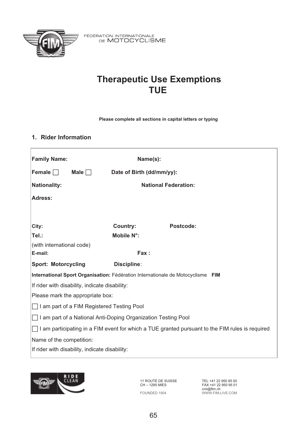

FÉDÉRATION INTERNATIONALE<br>DE MOTOCYCLISME

# **Therapeutic Use Exemptions TUE**

**Please complete all sections in capital letters or typing**

#### **1. Rider Information**

| <b>Family Name:</b>                                                                             | Name(s):                  |                             |  |
|-------------------------------------------------------------------------------------------------|---------------------------|-----------------------------|--|
| Male $\Box$<br>Female $\Box$                                                                    | Date of Birth (dd/mm/yy): |                             |  |
| <b>Nationality:</b>                                                                             |                           | <b>National Federation:</b> |  |
| Adress:                                                                                         |                           |                             |  |
|                                                                                                 |                           |                             |  |
| City:                                                                                           | Country:                  | Postcode:                   |  |
| Tel.:                                                                                           | Mobile N°:                |                             |  |
| (with international code)                                                                       |                           |                             |  |
| E-mail:                                                                                         | Fax:                      |                             |  |
| Sport: Motorcycling                                                                             | Discipline:               |                             |  |
| International Sport Organisation: Fédération Internationale de Motocyclisme FIM                 |                           |                             |  |
| If rider with disability, indicate disability:                                                  |                           |                             |  |
| Please mark the appropriate box:                                                                |                           |                             |  |
| I am part of a FIM Registered Testing Pool                                                      |                           |                             |  |
| I am part of a National Anti-Doping Organization Testing Pool                                   |                           |                             |  |
| I am participating in a FIM event for which a TUE granted pursuant to the FIM rules is required |                           |                             |  |
| Name of the competition:                                                                        |                           |                             |  |
| If rider with disability, indicate disability:                                                  |                           |                             |  |
|                                                                                                 |                           |                             |  |



11 ROUTE DE SUISSE CH – 1295 MIES FOUNDED 1904

TEL +41 22 950 95 00 FAX +41 22 950 95 01 cmi@fim.ch WWW.FIM-LIVE.COM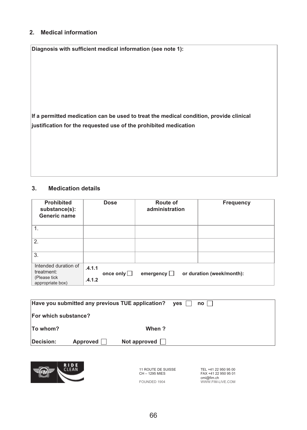#### **2. Medical information**

**Diagnosis with sufficient medical information (see note 1):**

**If a permitted medication can be used to treat the medical condition, provide clinical justification for the requested use of the prohibited medication** 

#### **3. Medication details**

| Prohibited<br>substance(s):<br>Generic name                            |                  | Dose      | Route of<br>administration | Frequency                 |
|------------------------------------------------------------------------|------------------|-----------|----------------------------|---------------------------|
| 1.                                                                     |                  |           |                            |                           |
| 2.                                                                     |                  |           |                            |                           |
| 3.                                                                     |                  |           |                            |                           |
| Intended duration of<br>treatment:<br>(Please tick<br>appropriate box) | .4.1.1<br>.4.1.2 | once only | emergency $\Box$           | or duration (week/month): |

| Have you submitted any previous TUE application? |          | $ves$               | no |  |
|--------------------------------------------------|----------|---------------------|----|--|
| For which substance?                             |          |                     |    |  |
| To whom?                                         |          | When ?              |    |  |
| Decision:                                        | Approved | Not approved $\Box$ |    |  |



11 ROUTE DE SUISSE CH – 1295 MIES

FOUNDED 1904

TEL +41 22 950 95 00 FAX +41 22 950 95 01 cmi@fim.ch WWW.FIM-LIVE.COM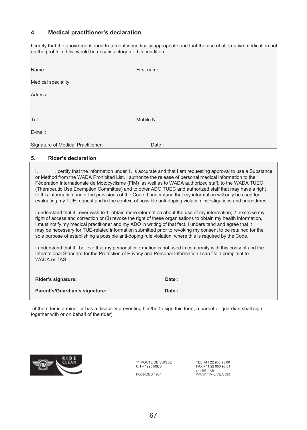#### **4. Medical practitioner's declaration**

| on the prohibited list would be unsatisfactory for this condition. | I certify that the above-mentioned treatment is medically appropriate and that the use of alternative medication not |
|--------------------------------------------------------------------|----------------------------------------------------------------------------------------------------------------------|
| Name:                                                              | First name:                                                                                                          |
| Medical speciality:                                                |                                                                                                                      |
| Adress:                                                            |                                                                                                                      |
|                                                                    |                                                                                                                      |
| Tel.:                                                              | Mobile N°:                                                                                                           |
| E-mail:                                                            |                                                                                                                      |
| Signature of Medical Practitioner:                                 | Date:                                                                                                                |

#### **5. Rider's declaration**

I, certify that the information under 1. is accurate and that I am requesting approval to use a Substance or Method from the WADA Prohibited List. I authorize the release of personal medical information to the Fédération Internationale de Motocyclisme (FIM) as well as to WADA authorized staff, to the WADA TUEC (Therapeutic Use Exemption Committee) and to other ADO TUEC and authorized staff that may have a right to this information under the provisions of the Code. I understand that my information will only be used for evaluating my TUE request and in the context of possible anti-doping violation investigations and procedures.

I understand that if I ever wish to 1. obtain more information about the use of my information; 2. exercise my right of access and correction or (3) revoke the right of these organisations to obtain my health information, I must notify my medical practitioner and my ADO in writing of that fact. I unders tand and agree that it may be necessary for TUE-related information submitted prior to revoking my consent to be retained for the sole purpose of establishing a possible anti-doping rule violation, where this is required by the Code.

I understand that if I believe that my personal information is not used in conformity with this consent and the International Standard for the Protection of Privacy and Personal Information I can file a complaint to WADA or TAS.

| Rider's signature:             | Date: |
|--------------------------------|-------|
| Parent's/Guardian's signature: | Date: |

 (if the rider is a minor or has a disability preventing him/herto sign this form, a parent or guardian shall sign together with or on behalf of the rider)



11 ROUTE DE SUISSE CH – 1295 MIES FOUNDED 1904

TEL +41 22 950 95 00 FAX +41 22 950 95 01 cmi@fim.ch WWW.FIM-LIVE.COM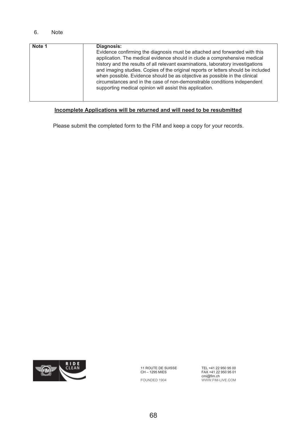#### 6. Note

| Note 1 | Diagnosis:<br>Evidence confirming the diagnosis must be attached and forwarded with this<br>application. The medical evidence should in clude a comprehensive medical<br>history and the results of all relevant examinations, laboratory investigations<br>and imaging studies. Copies of the original reports or letters should be included<br>when possible. Evidence should be as objective as possible in the clinical<br>circumstances and in the case of non-demonstrable conditions independent<br>supporting medical opinion will assist this application. |
|--------|---------------------------------------------------------------------------------------------------------------------------------------------------------------------------------------------------------------------------------------------------------------------------------------------------------------------------------------------------------------------------------------------------------------------------------------------------------------------------------------------------------------------------------------------------------------------|
|--------|---------------------------------------------------------------------------------------------------------------------------------------------------------------------------------------------------------------------------------------------------------------------------------------------------------------------------------------------------------------------------------------------------------------------------------------------------------------------------------------------------------------------------------------------------------------------|

#### **Incomplete Applications will be returned and will need to be resubmitted**

Please submit the completed form to the FIM and keep a copy for your records.



11 ROUTE DE SUISSE CH – 1295 MIES

FOUNDED 1904

TEL +41 22 950 95 00 FAX +41 22 950 95 01 cmi@fim.ch WWW.FIM-LIVE.COM